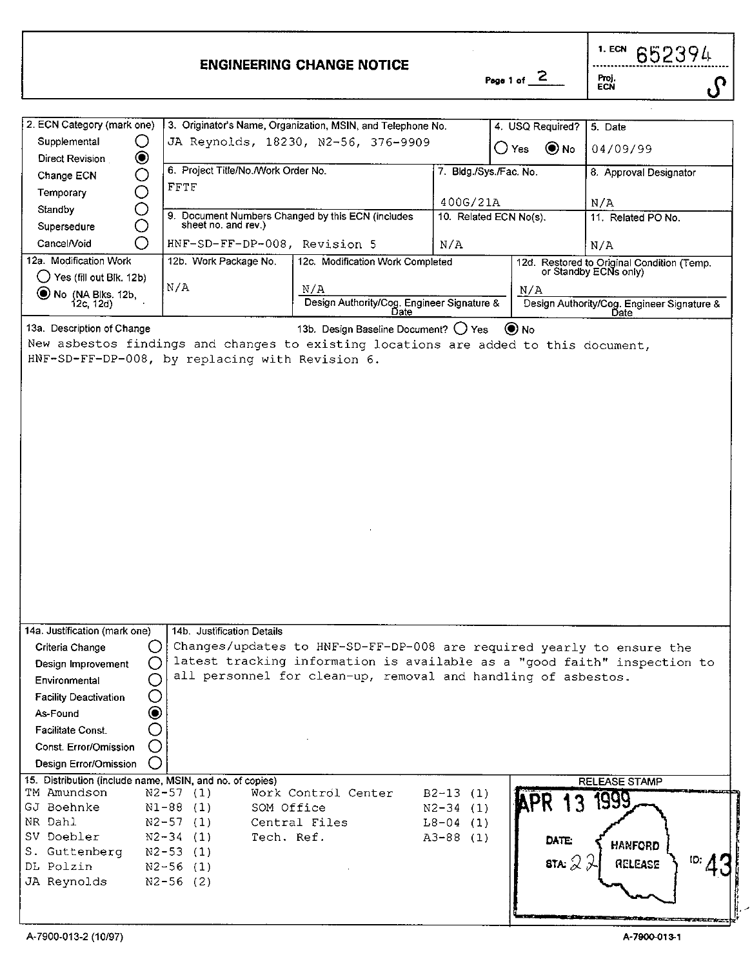|                            | <b>ENGINEERING CHANGE NOTICE</b>                            | Page 1 of                | 1. ECN<br>652394<br>Proj.<br>ECN |
|----------------------------|-------------------------------------------------------------|--------------------------|----------------------------------|
|                            |                                                             |                          |                                  |
| 2. ECN Category (mark one) | 3. Originator's Name, Organization, MSIN, and Telephone No. | 4. USQ Required? 5. Date |                                  |
| Supplemental               | JA Reynolds, 18230, N2-56, 376-9909                         | $\odot$ No<br>() Yes     | 04/09/99                         |
| ◉<br>Direct Revision       |                                                             |                          |                                  |

| Change ECN<br>O                | 6. Project Title/No./Work Order No.                                                 |                                                                          | 7. Bldg./Sys./Fac. No. |                             | 8. Approval Designator                                              |
|--------------------------------|-------------------------------------------------------------------------------------|--------------------------------------------------------------------------|------------------------|-----------------------------|---------------------------------------------------------------------|
| ∩<br>Temporary                 | <b>FFTF</b>                                                                         |                                                                          |                        |                             |                                                                     |
| O<br>Standby                   |                                                                                     |                                                                          | 400G/21A               |                             | N/A                                                                 |
| O<br>Supersedure               |                                                                                     | 9. Document Numbers Changed by this ECN (includes sheet no. and rev.)    | 10. Related ECN No(s). |                             | 11. Related PO No.                                                  |
| ◯<br>Cancel/Void               | HNF-SD-FF-DP-008, Revision 5                                                        |                                                                          | N/A                    |                             | N/A                                                                 |
| 12a. Modification Work         | 12b. Work Package No.                                                               | 12c. Modification Work Completed                                         |                        |                             | 12d. Restored to Original Condition (Temp.<br>or Standby ECNs only) |
| ( ) Yes (fill out Blk. 12b)    |                                                                                     |                                                                          |                        |                             |                                                                     |
| No (NA Biks. 12b,<br>12c, 12d) | N/A                                                                                 | N/A                                                                      |                        | N/A                         |                                                                     |
|                                |                                                                                     | Design Authority/Cog. Engineer Signature &                               |                        |                             | Design Authority/Cog. Engineer Signature &                          |
| 13a. Description of Change     |                                                                                     | 13b. Design Baseline Document? ( ) Yes                                   |                        | $\left( \bullet \right)$ No |                                                                     |
|                                | New asbestos findings and changes to existing locations are added to this document, |                                                                          |                        |                             |                                                                     |
|                                | HNF-SD-FF-DP-008, by replacing with Revision 6.                                     |                                                                          |                        |                             |                                                                     |
|                                |                                                                                     |                                                                          |                        |                             |                                                                     |
|                                |                                                                                     |                                                                          |                        |                             |                                                                     |
|                                |                                                                                     |                                                                          |                        |                             |                                                                     |
|                                |                                                                                     |                                                                          |                        |                             |                                                                     |
|                                |                                                                                     |                                                                          |                        |                             |                                                                     |
|                                |                                                                                     |                                                                          |                        |                             |                                                                     |
|                                |                                                                                     |                                                                          |                        |                             |                                                                     |
|                                |                                                                                     |                                                                          |                        |                             |                                                                     |
|                                |                                                                                     |                                                                          |                        |                             |                                                                     |
|                                |                                                                                     |                                                                          |                        |                             |                                                                     |
|                                |                                                                                     |                                                                          |                        |                             |                                                                     |
|                                |                                                                                     |                                                                          |                        |                             |                                                                     |
|                                |                                                                                     |                                                                          |                        |                             |                                                                     |
|                                |                                                                                     |                                                                          |                        |                             |                                                                     |
|                                |                                                                                     |                                                                          |                        |                             |                                                                     |
|                                |                                                                                     |                                                                          |                        |                             |                                                                     |
|                                |                                                                                     |                                                                          |                        |                             |                                                                     |
| 14a. Justification (mark one)  | 14b. Justification Details                                                          |                                                                          |                        |                             |                                                                     |
| Criteria Change                | ( )                                                                                 | Changes/updates to HNF-SD-FF-DP-008 are required yearly to ensure the    |                        |                             |                                                                     |
| Design Improvement             | O                                                                                   | latest tracking information is available as a "good faith" inspection to |                        |                             |                                                                     |
| Environmental                  | С                                                                                   | all personnel for clean-up, removal and handling of asbestos.            |                        |                             |                                                                     |
|                                |                                                                                     |                                                                          |                        |                             |                                                                     |
| <b>Facility Deactivation</b>   | O                                                                                   |                                                                          |                        |                             |                                                                     |
| As-Found                       | ◉                                                                                   |                                                                          |                        |                             |                                                                     |
| Facilitate Const.              | O                                                                                   |                                                                          |                        |                             |                                                                     |
| Const. Error/Omission          | O                                                                                   |                                                                          |                        |                             |                                                                     |
| Design Error/Omission          | ∩                                                                                   |                                                                          |                        |                             |                                                                     |
|                                | 15. Distribution (include name, MSIN, and no. of copies)                            |                                                                          |                        |                             | <b>RELEASE STAMP</b>                                                |
| TM Amundson                    | $N2 - 57$ (1)                                                                       | Work Control Center                                                      | $B2-13(1)$             | <b>KPR</b>                  | 1999                                                                |
| GJ Boehnke                     | $N1-88$ (1)                                                                         | SOM Office                                                               | $N2 - 34$ (1)          |                             |                                                                     |
| NR Dahl                        | $N2-57(1)$                                                                          | Central Files                                                            | $L8 - 04$ (1)          |                             |                                                                     |
| SV Doebler                     | $N2 - 34$ (1)                                                                       | Tech. Ref.                                                               | A3-88 (1)              | <b>DATE:</b>                | HANFORD                                                             |
| S. Guttenberg                  | $N2-53$ (1)                                                                         |                                                                          |                        |                             | ID:<br>RELEASE                                                      |
| DL Polzin                      | $N2-56(1)$                                                                          |                                                                          |                        | STA: $\approx$              |                                                                     |
| JA Reynolds                    | $N2-56(2)$                                                                          |                                                                          |                        |                             |                                                                     |
|                                |                                                                                     |                                                                          |                        |                             |                                                                     |
|                                |                                                                                     |                                                                          |                        |                             |                                                                     |
|                                |                                                                                     |                                                                          |                        |                             |                                                                     |

Direct Revision **Q**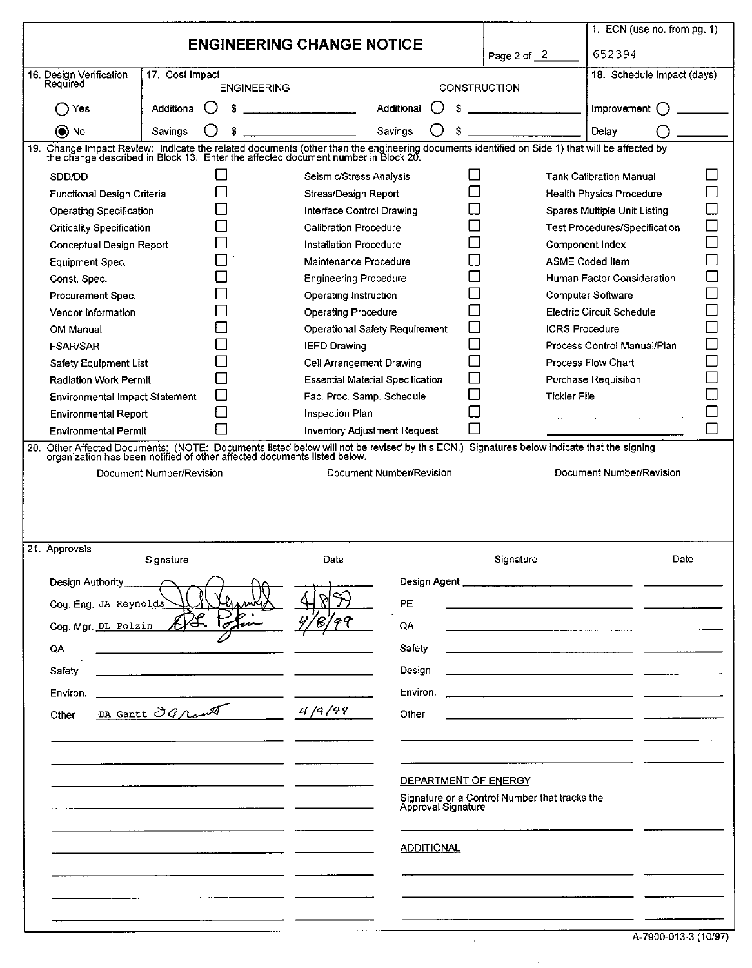|                                                                                                                                                                                                                                                  |                          |                                         |                    |     |     |                                               | 1. ECN (use no. from pg. 1)          |     |
|--------------------------------------------------------------------------------------------------------------------------------------------------------------------------------------------------------------------------------------------------|--------------------------|-----------------------------------------|--------------------|-----|-----|-----------------------------------------------|--------------------------------------|-----|
|                                                                                                                                                                                                                                                  |                          | <b>ENGINEERING CHANGE NOTICE</b>        |                    |     |     | Page 2 of 2                                   | 652394                               |     |
| 16. Design Verification<br>Required                                                                                                                                                                                                              | 17. Cost Impact          |                                         |                    |     |     |                                               | 18. Schedule Impact (days)           |     |
|                                                                                                                                                                                                                                                  | <b>ENGINEERING</b>       |                                         |                    |     |     | CONSTRUCTION                                  |                                      |     |
| () Yes                                                                                                                                                                                                                                           | Additional (<br>s        |                                         | Additional         | ( ) | ŝ.  |                                               | Improvement $\bigcap$                |     |
| () No                                                                                                                                                                                                                                            | Savings<br>\$            |                                         | Savings            |     | \$. |                                               | Delay                                |     |
| Change Impact Review: Indicate the related documents (other than the engineering documents identified on Side 1) that will be affected by<br>the change described in Block 13. Enter the affected document number in Block 20.<br>19.            |                          |                                         |                    |     |     |                                               |                                      |     |
| SDD/DD                                                                                                                                                                                                                                           | $\mathsf{L}$             | Seismic/Stress Analysis                 |                    |     | l 1 |                                               | <b>Tank Calibration Manual</b>       | П   |
| Functional Design Criteria                                                                                                                                                                                                                       | □                        | Stress/Design Report                    |                    |     | П   |                                               | Health Physics Procedure             | П   |
| Operating Specification                                                                                                                                                                                                                          |                          | Interface Control Drawing               |                    |     |     |                                               | Spares Multiple Unit Listing         |     |
| Criticality Specification                                                                                                                                                                                                                        |                          | Calibration Procedure                   |                    |     |     |                                               | <b>Test Procedures/Specification</b> |     |
| Conceptual Design Report                                                                                                                                                                                                                         |                          | Installation Procedure                  |                    |     |     |                                               | Component Index                      |     |
| Equipment Spec.                                                                                                                                                                                                                                  |                          | Maintenance Procedure                   |                    |     |     |                                               | <b>ASME Coded Item</b>               | ▁   |
| Const. Spec.                                                                                                                                                                                                                                     |                          | <b>Engineering Procedure</b>            |                    |     |     |                                               | Human Factor Consideration           |     |
| Procurement Spec.                                                                                                                                                                                                                                |                          | Operating Instruction                   |                    |     |     |                                               | <b>Computer Software</b>             |     |
| Vendor Information                                                                                                                                                                                                                               |                          | <b>Operating Procedure</b>              |                    |     |     |                                               | Electric Circuit Schedule            |     |
| OM Manual                                                                                                                                                                                                                                        |                          | Operational Safety Requirement          |                    |     |     | <b>ICRS</b> Procedure                         |                                      | ┐   |
| <b>FSAR/SAR</b>                                                                                                                                                                                                                                  | l.                       | <b>IEFD Drawing</b>                     |                    |     |     |                                               | Process Control Manual/Plan          |     |
| Safety Equipment List                                                                                                                                                                                                                            |                          | Cell Arrangement Drawing                |                    |     |     |                                               | Process Flow Chart                   | - 1 |
| Radiation Work Permit                                                                                                                                                                                                                            | L                        | <b>Essential Material Specification</b> |                    |     |     |                                               | Purchase Requisition                 |     |
| Environmental Impact Statement                                                                                                                                                                                                                   |                          | Fac. Proc. Samp. Schedule               |                    |     |     | <b>Tickler File</b>                           |                                      |     |
| <b>Environmental Report</b>                                                                                                                                                                                                                      | П                        | Inspection Plan                         |                    |     |     |                                               |                                      |     |
| <b>Environmental Permit</b>                                                                                                                                                                                                                      |                          |                                         |                    |     |     |                                               |                                      |     |
| Inventory Adjustment Request<br>Other Affected Documents: (NOTE: Documents listed below will not be revised by this ECN.) Signatures below indicate that the signing<br>organization has been notified of other affected documents listed below. |                          |                                         |                    |     |     |                                               |                                      |     |
| 20.                                                                                                                                                                                                                                              | Document Number/Revision | Document Number/Revision                |                    |     |     |                                               | Document Number/Revision             |     |
|                                                                                                                                                                                                                                                  |                          |                                         |                    |     |     |                                               |                                      |     |
| 21. Approvals                                                                                                                                                                                                                                    | Signature                | Date                                    |                    |     |     | Signature                                     | Date                                 |     |
| Design Authority                                                                                                                                                                                                                                 |                          |                                         | Design Agent       |     |     |                                               |                                      |     |
|                                                                                                                                                                                                                                                  |                          |                                         |                    |     |     |                                               |                                      |     |
| Cog. Eng. JA Reynolds                                                                                                                                                                                                                            |                          |                                         | PE                 |     |     |                                               |                                      |     |
| Cog. Mgr. DL Polzin                                                                                                                                                                                                                              |                          |                                         | QA                 |     |     |                                               |                                      |     |
| QA                                                                                                                                                                                                                                               |                          |                                         | Safety             |     |     |                                               |                                      |     |
| Safety                                                                                                                                                                                                                                           |                          |                                         | Design             |     |     |                                               |                                      |     |
|                                                                                                                                                                                                                                                  |                          |                                         |                    |     |     |                                               |                                      |     |
| Environ.                                                                                                                                                                                                                                         |                          |                                         | Environ.           |     |     |                                               |                                      |     |
| Other                                                                                                                                                                                                                                            | DA Gante OG rant         | 4/9/99                                  | Other              |     |     |                                               |                                      |     |
|                                                                                                                                                                                                                                                  |                          |                                         |                    |     |     |                                               |                                      |     |
|                                                                                                                                                                                                                                                  |                          |                                         |                    |     |     |                                               |                                      |     |
|                                                                                                                                                                                                                                                  |                          |                                         |                    |     |     | DEPARTMENT OF ENERGY                          |                                      |     |
|                                                                                                                                                                                                                                                  |                          |                                         | Approval Signature |     |     | Signature or a Control Number that tracks the |                                      |     |
|                                                                                                                                                                                                                                                  |                          |                                         |                    |     |     |                                               |                                      |     |
|                                                                                                                                                                                                                                                  |                          |                                         | <b>ADDITIONAL</b>  |     |     |                                               |                                      |     |
|                                                                                                                                                                                                                                                  |                          |                                         |                    |     |     |                                               |                                      |     |
|                                                                                                                                                                                                                                                  |                          |                                         |                    |     |     |                                               |                                      |     |

 $\overline{a}$ 

l,

| A-7900-013-3 (10/97) |
|----------------------|
|----------------------|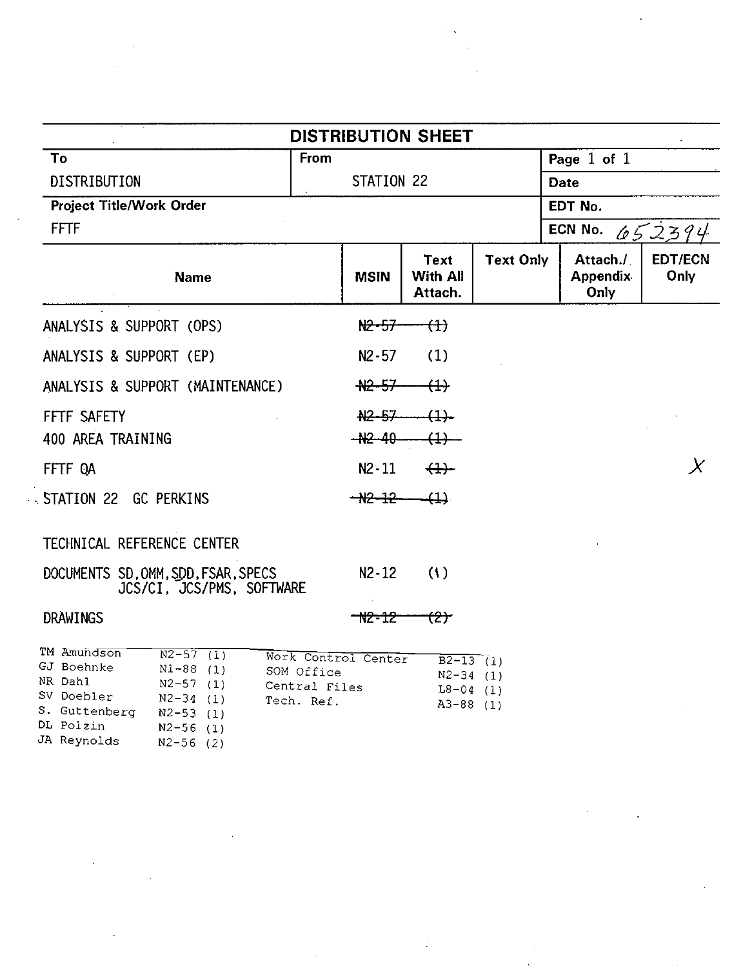|                                                                                                                                                                                                                 | <b>DISTRIBUTION SHEET</b>                                        |                                                                       |                  |      |                                     |                        |
|-----------------------------------------------------------------------------------------------------------------------------------------------------------------------------------------------------------------|------------------------------------------------------------------|-----------------------------------------------------------------------|------------------|------|-------------------------------------|------------------------|
| To                                                                                                                                                                                                              | From                                                             |                                                                       |                  |      | Page 1 of 1                         |                        |
| DISTRIBUTION                                                                                                                                                                                                    | STATION 22                                                       |                                                                       |                  | Date |                                     |                        |
| Project Title/Work Order                                                                                                                                                                                        |                                                                  |                                                                       |                  |      | EDT No.                             |                        |
| <b>FFTF</b>                                                                                                                                                                                                     |                                                                  |                                                                       |                  |      | ECN No.                             | 652394                 |
| <b>Name</b>                                                                                                                                                                                                     | <b>MSIN</b>                                                      | Text<br>With All<br>Attach.                                           | <b>Text Only</b> |      | Attach./<br><b>Appendix</b><br>Only | <b>EDT/ECN</b><br>Only |
| ANALYSIS & SUPPORT (OPS)                                                                                                                                                                                        | N2-57                                                            | <del>(1)</del>                                                        |                  |      |                                     |                        |
| ANALYSIS & SUPPORT (EP)                                                                                                                                                                                         | $N2 - 57$                                                        | (1)                                                                   |                  |      |                                     |                        |
| ANALYSIS & SUPPORT (MAINTENANCE)                                                                                                                                                                                | <del>N2-57</del>                                                 | $\leftrightarrow$                                                     |                  |      |                                     |                        |
| FFTF SAFETY                                                                                                                                                                                                     | $A2 - 57$                                                        | $\overline{4}$                                                        |                  |      |                                     |                        |
| 400 AREA TRAINING                                                                                                                                                                                               | $ +2-40$                                                         | $\leftrightarrow$                                                     |                  |      |                                     |                        |
| FFTF OA                                                                                                                                                                                                         | $N2 - 11$                                                        | (1)                                                                   |                  |      |                                     | X                      |
| .STATION 22 GC PERKINS                                                                                                                                                                                          | $-$ <del>12</del> $-$ 12 $-$                                     | -411                                                                  |                  |      |                                     |                        |
| TECHNICAL REFERENCE CENTER                                                                                                                                                                                      |                                                                  |                                                                       |                  |      |                                     |                        |
| DOCUMENTS SD.OMM.SDD.FSAR.SPECS<br>JCS/CI. JCS/PMS. SOFTWARE                                                                                                                                                    | $N2 - 12$                                                        | (1)                                                                   |                  |      |                                     |                        |
| DRAWINGS                                                                                                                                                                                                        | <del>-12-12-</del>                                               | <del>(2)</del>                                                        |                  |      |                                     |                        |
| TM Amundson<br>$N2 - 57$ (1)<br>GJ Boehnke<br>$N1 - 88$ (1)<br>NR Dahl<br>$N2-57(1)$<br>SV Doebler<br>$N2-34$ (1)<br>S. Guttenberg<br>$N2 - 53$ (1)<br>DL Polzin<br>$N2-56$ (1)<br>JA Reynolds<br>$N2 - 56$ (2) | Work Control Center<br>SOM Office<br>Central Files<br>Tech. Ref. | $\overline{B2-13}$ (1)<br>$N2-34$ (1)<br>$L8 - 04$ (1)<br>$A3-88$ (1) |                  |      |                                     |                        |

 $\sim 50$ 

 $\sim$ 

 $\mathcal{L}$ 

 $\epsilon$ 

 $\bar{z}$ 

 $\ddot{\phantom{a}}$ 

 $\sim$   $\sim$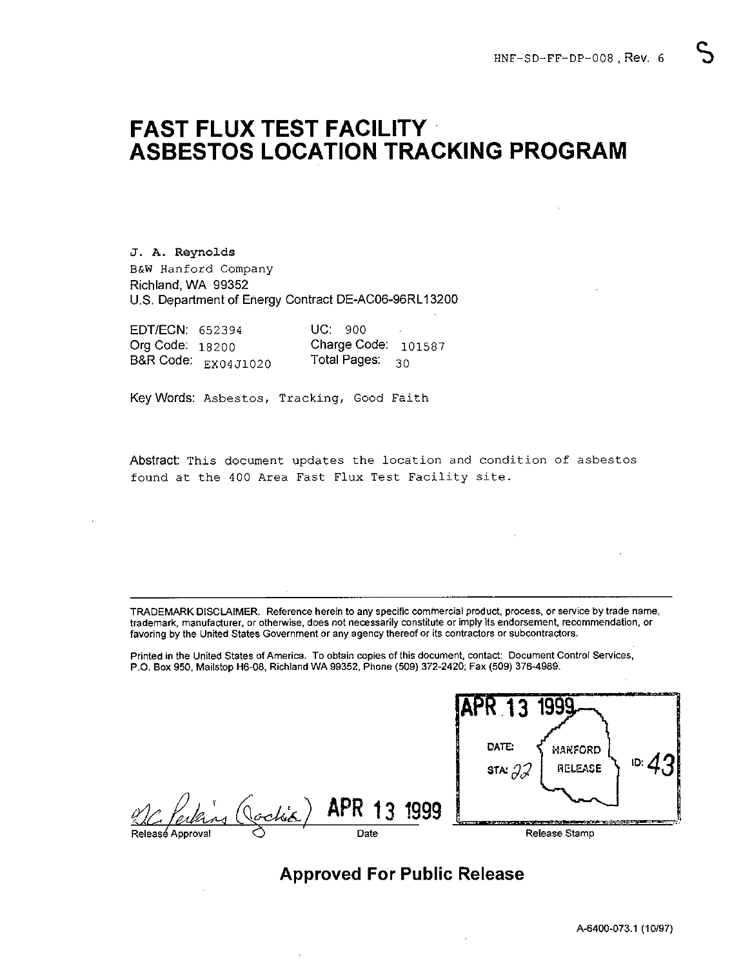# **FAST FLUX TEST FACILITY ASBESTOS LOCATION TRACKING PROGRAM**

J. A. Reynolds B&W Hanford Company Richland, WA 99352 U.S. Department of Energy Contract DE-AC06-96RLI 3200

| EDT/ECN: 652394   |                     | UC: 900                     |  |
|-------------------|---------------------|-----------------------------|--|
| Org Code: $18200$ |                     | Charge Code: $101587$       |  |
|                   | B&R Code: EX04J1020 | Total Pages: ം <sub>റ</sub> |  |

Key Words: Asbestos, Tracking, Good Faith

Abstract This document updates the location and condition of asbestos found at the 400 Area Fast Flux Test Facility site.

TRADEMARK DISCLAIMER. Reference herein to any specific commercial product, process, or service by trade name, trademark, manufacturer, or otherwise, does not necessarily constitute or imply its endorsement, recommendation, or favoring by the United States Government or any agency thereof or its contractors or subcontractors.

Printed in the United States of America. To obtain copies of this document, contact: Document Control Services, P.O. Box 950, Mailstop H6-08, Richland WA 99352, Phone (509) 372-2420; Fax (509) 376-4989.

|                  | P.O. Box 950, Mailstop H6-08, Richland WA 99352, Phone (509) 372-2420; Fax (509) 376-4989. | I HIRA III NIA AIRAA AMAA AIYIININGI. TA'ANGII AANAA AI'IIIA SAASIIISIIN ASIINAAL SAASIIISIIN ASIIIISI SALIISAA |
|------------------|--------------------------------------------------------------------------------------------|-----------------------------------------------------------------------------------------------------------------|
|                  |                                                                                            | 1999<br>DATE:<br>HARFORD                                                                                        |
|                  |                                                                                            | ID.<br>STA: $\partial \mathcal{J}$<br>RELEASE                                                                   |
|                  | Elling (Jackie) APR 13 1999                                                                |                                                                                                                 |
| Releasé Approval | Date                                                                                       | Release Stamp                                                                                                   |
|                  |                                                                                            |                                                                                                                 |

# **Approved For Public Release**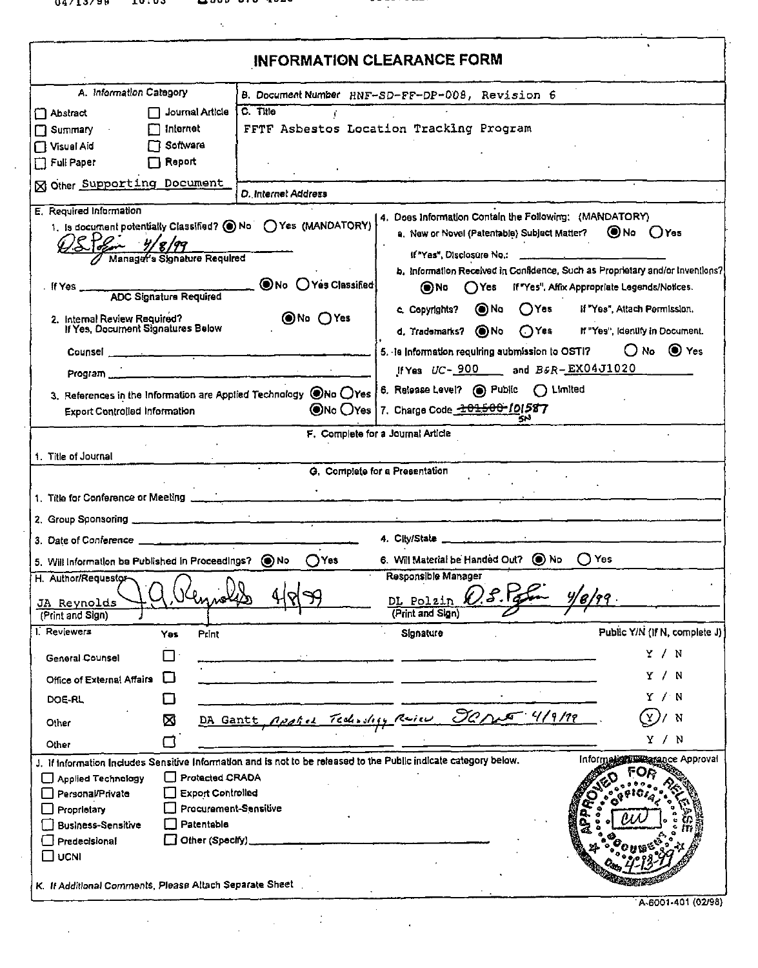|                                                                                                                                                                                                                                                                                                                                                      |                     | INFORMATION CLEARANCE FORM                                                                             |                                                           |  |  |  |
|------------------------------------------------------------------------------------------------------------------------------------------------------------------------------------------------------------------------------------------------------------------------------------------------------------------------------------------------------|---------------------|--------------------------------------------------------------------------------------------------------|-----------------------------------------------------------|--|--|--|
| A. Information Category                                                                                                                                                                                                                                                                                                                              |                     | B. Document Number HNF-SD-FF-DP-008, Revision 6                                                        |                                                           |  |  |  |
| Journal Article<br>Abstract                                                                                                                                                                                                                                                                                                                          | C. Title<br>£,      |                                                                                                        |                                                           |  |  |  |
| FFTF Asbestos Location Tracking Program<br>□ Internet<br>$\Box$ Summary                                                                                                                                                                                                                                                                              |                     |                                                                                                        |                                                           |  |  |  |
| Visual Aid<br>厂 Software                                                                                                                                                                                                                                                                                                                             |                     |                                                                                                        |                                                           |  |  |  |
| Full Paper<br>□ Report                                                                                                                                                                                                                                                                                                                               |                     |                                                                                                        |                                                           |  |  |  |
| <b>N</b> Other Supporting Document                                                                                                                                                                                                                                                                                                                   | D. Internet Address |                                                                                                        |                                                           |  |  |  |
| E. Required Information                                                                                                                                                                                                                                                                                                                              |                     |                                                                                                        |                                                           |  |  |  |
| 1. Is document potentially Classified? O No CYes (MANDATORY)                                                                                                                                                                                                                                                                                         |                     | 4. Does Information Contain the Following: (MANDATORY)<br>a. New or Novel (Patentable) Subject Matter? | <b>O</b> No ○Yes                                          |  |  |  |
| Manager's Slonature Required                                                                                                                                                                                                                                                                                                                         |                     | If "Yas", Disclosure No.:                                                                              |                                                           |  |  |  |
|                                                                                                                                                                                                                                                                                                                                                      |                     | b. Information Received in Confidence, Such as Proprietary and/or Inventions?                          |                                                           |  |  |  |
| f Yes<br><b>ADC Signature Required</b>                                                                                                                                                                                                                                                                                                               | ONo OYes Classified | $\bigcap$ Yes<br>ON O                                                                                  | If "Yes", Affix Appropriate Legends/Notices.              |  |  |  |
|                                                                                                                                                                                                                                                                                                                                                      |                     | ON O<br>$\bigcap$ Yes<br>c. Copyrights?                                                                | if "Yes", Attach Permission.                              |  |  |  |
| 2. Internal Review Required?<br>If Yes, Document Signatures Below                                                                                                                                                                                                                                                                                    | to OYes⊙            | d. Trademarks? ONo<br>$\bigcap$ Yes                                                                    | If "Yes", (dentify in Document.                           |  |  |  |
|                                                                                                                                                                                                                                                                                                                                                      |                     |                                                                                                        |                                                           |  |  |  |
| Counsel.                                                                                                                                                                                                                                                                                                                                             |                     | 5. Is information requiring aubmission to OSTI?                                                        | $ONo$ $\odot$ Yes                                         |  |  |  |
| Program                                                                                                                                                                                                                                                                                                                                              |                     | If Yes UC- 900 and B&R-EX04J1020                                                                       |                                                           |  |  |  |
| 3. References in the Information are Applied Technology $\bigcirc$ No $\bigcirc$ Yes                                                                                                                                                                                                                                                                 |                     | 6. Release Level? . Public ( Limited                                                                   |                                                           |  |  |  |
| Export Controlled Information                                                                                                                                                                                                                                                                                                                        |                     | ONo OYes 7. Charge Code 201500-101587                                                                  |                                                           |  |  |  |
|                                                                                                                                                                                                                                                                                                                                                      |                     | F. Complete for a Journal Article<br>G. Complete for a Presentation                                    |                                                           |  |  |  |
|                                                                                                                                                                                                                                                                                                                                                      |                     |                                                                                                        |                                                           |  |  |  |
|                                                                                                                                                                                                                                                                                                                                                      |                     | 4. City/State                                                                                          |                                                           |  |  |  |
|                                                                                                                                                                                                                                                                                                                                                      | ∩Yes                | 6. Will Material be Handed Out? (C) No                                                                 | $\bigcirc$ Yes                                            |  |  |  |
|                                                                                                                                                                                                                                                                                                                                                      |                     | Responsible Manager                                                                                    |                                                           |  |  |  |
|                                                                                                                                                                                                                                                                                                                                                      |                     |                                                                                                        |                                                           |  |  |  |
|                                                                                                                                                                                                                                                                                                                                                      |                     | DL Polzin (1) P.<br>(Print and Sign)                                                                   |                                                           |  |  |  |
| (Print and Sign)<br>Yes<br>Print                                                                                                                                                                                                                                                                                                                     |                     | Signature                                                                                              |                                                           |  |  |  |
| П<br>General Counsel                                                                                                                                                                                                                                                                                                                                 |                     |                                                                                                        | Y/N                                                       |  |  |  |
| П<br>Office of External Affairs                                                                                                                                                                                                                                                                                                                      |                     |                                                                                                        | Y / N                                                     |  |  |  |
| DOE-RL<br>ᄓ                                                                                                                                                                                                                                                                                                                                          |                     |                                                                                                        | Υ⁄N                                                       |  |  |  |
| ⋈<br>Other                                                                                                                                                                                                                                                                                                                                           |                     | DA Gantt, Applies Technology Review 90 mas 4/9/19                                                      | Y.<br>/ N                                                 |  |  |  |
| 冖<br>Other                                                                                                                                                                                                                                                                                                                                           |                     |                                                                                                        | Y / N                                                     |  |  |  |
|                                                                                                                                                                                                                                                                                                                                                      |                     |                                                                                                        | Public Y/N (if N, complete J)<br>Information was approval |  |  |  |
| Protected CRADA<br>Applied Technology                                                                                                                                                                                                                                                                                                                |                     |                                                                                                        |                                                           |  |  |  |
| Personal/Private<br>Export Controlled                                                                                                                                                                                                                                                                                                                |                     |                                                                                                        |                                                           |  |  |  |
| Procurement-Sensitive<br>Proprietary                                                                                                                                                                                                                                                                                                                 |                     |                                                                                                        |                                                           |  |  |  |
| 1. Title of Journal<br>2. Group Sponsoring<br>3. Date of Conference<br>5. Will information be Published in Proceedings? (C) No<br>H. Author/Requestor<br>JA Reynolds<br>I. Reviewers<br>J. If information Includes Sensitive Information and is not to be released to the Public indicate category below.<br>Patentable<br><b>Business-Sensitive</b> |                     |                                                                                                        |                                                           |  |  |  |
| Other (Specify)<br>$\Box$ Predecisional<br>ΠυcΝΙ                                                                                                                                                                                                                                                                                                     |                     |                                                                                                        |                                                           |  |  |  |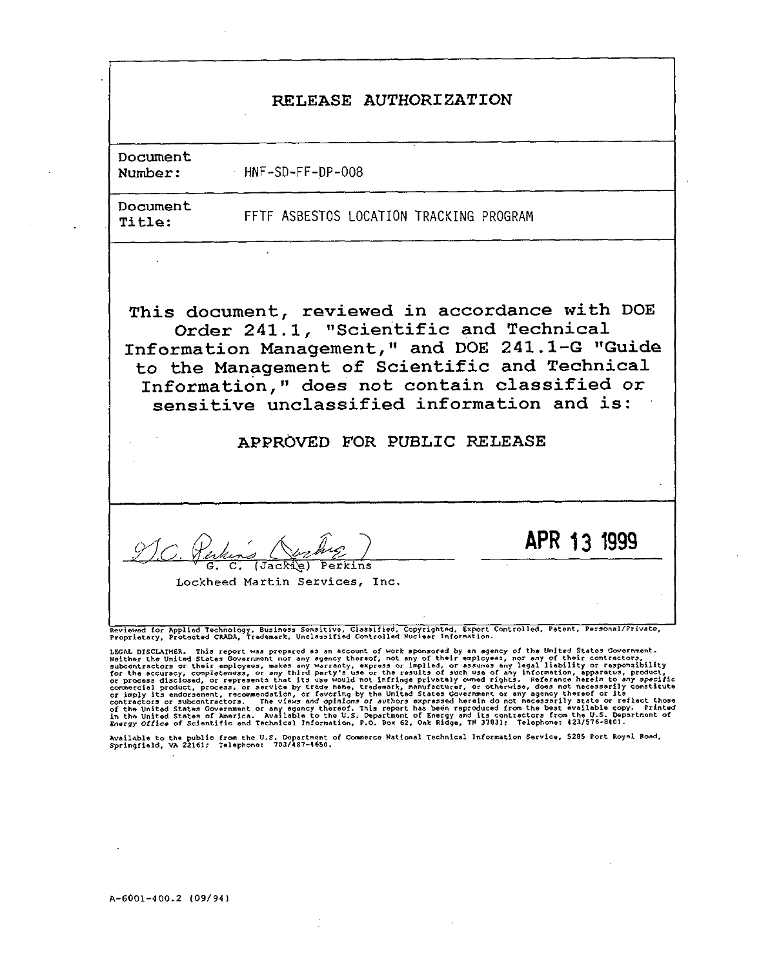### RELEASE AUTHORIZATION

**Document**

Number: **HNF-SD-FF-DP-O08**

Document

Title: **FFTF ASBESTOS LOCATION TRACKING PROGRAM**

This document, reviewed in accordance with DOE Order 241.1, "Scientific and Technical Information Management," and DOE 241.1-G "Guide to the Management of Scientific and Technical Information ," does not contain classified or sensitive unclassified information and is:

APPROVED FOR PUBLIC RELEASE

c. @**A'4LL**A.W&z ) **APR 1j <sup>1999</sup>**

G. C. (Jackie) Perk

I Lockheed Martin Services, Inc.

[<br>Reviewed for Applied Technology, Business Sensitive, Classified, Copyrighted, Export Controlled, Patent, Personal/Pr<br>Proprietary, Protected CRADA, Trademark, Unclassified Controlled Nuclear Information.

Available to the public from the U.S. Department of Commerce National Technical Information Service, 5285 Fort Royal Roa<br>Springfield, VA 22161; Telephone: 703/187–1650.

I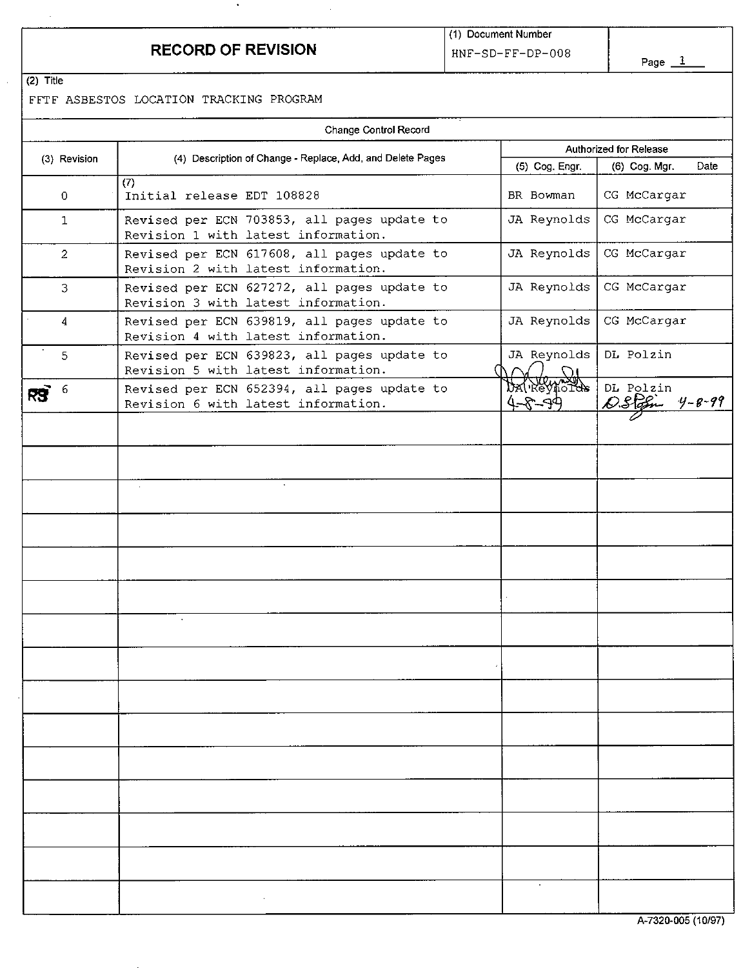# **RECORD OF REVISION** HNF-SD-FF-DP-008

 $\cdot$ 

Page $\_1$ 

 $(2)$  Title

FFTF ASBESTOS LOCATION TRACKING PROGRAM

|                | Change Control Record                                                              |                               |                                      |  |  |
|----------------|------------------------------------------------------------------------------------|-------------------------------|--------------------------------------|--|--|
| (3) Revision   | (4) Description of Change - Replace, Add, and Delete Pages                         | Authorized for Release        |                                      |  |  |
|                |                                                                                    | (5) Cog. Engr.                | (6) Cog. Mgr.<br>Date                |  |  |
| $\mathbf 0$    | (7)<br>Initial release EDT 108828                                                  | BR Bowman                     | CG McCargar                          |  |  |
| $\mathbf{1}$   | Revised per ECN 703853, all pages update to<br>Revision 1 with latest information. | JA Reynolds                   | CG McCargar                          |  |  |
| $\overline{2}$ | Revised per ECN 617608, all pages update to<br>Revision 2 with latest information. | JA Reynolds                   | CG McCargar                          |  |  |
| 3              | Revised per ECN 627272, all pages update to<br>Revision 3 with latest information. | JA Reynolds                   | CG McCargar                          |  |  |
| $\overline{4}$ | Revised per ECN 639819, all pages update to<br>Revision 4 with latest information. | JA Reynolds                   | CG McCargar                          |  |  |
| 5              | Revised per ECN 639823, all pages update to<br>Revision 5 with latest information. | JA Reynolds                   | DL Polzin                            |  |  |
|                | Revised per ECN 652394, all pages update to<br>Revision 6 with latest information. | DAN REVINSTOR<br>$4 - 8 - 99$ | DL Polzin<br>D.Stofn<br>$4 - 8 - 99$ |  |  |
|                |                                                                                    |                               |                                      |  |  |
|                |                                                                                    |                               |                                      |  |  |
|                | à.<br>$\sim$                                                                       |                               |                                      |  |  |
|                |                                                                                    |                               |                                      |  |  |
|                |                                                                                    |                               |                                      |  |  |
|                |                                                                                    |                               |                                      |  |  |
|                |                                                                                    |                               |                                      |  |  |
|                |                                                                                    |                               |                                      |  |  |
|                |                                                                                    |                               |                                      |  |  |
|                |                                                                                    |                               |                                      |  |  |
|                |                                                                                    |                               |                                      |  |  |
|                |                                                                                    |                               |                                      |  |  |
|                |                                                                                    |                               |                                      |  |  |
|                |                                                                                    |                               |                                      |  |  |
|                |                                                                                    |                               |                                      |  |  |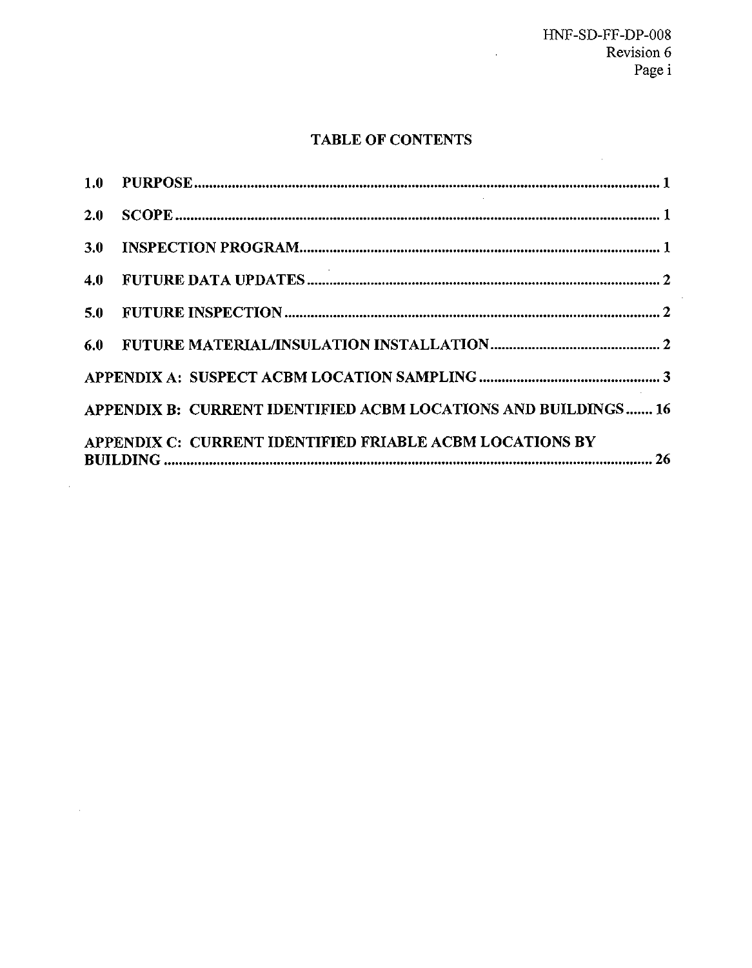# **TABLE OF CONTENTS**

| 2.0 <sub>2</sub> |                                                                |
|------------------|----------------------------------------------------------------|
| 3.0              |                                                                |
|                  |                                                                |
|                  |                                                                |
|                  |                                                                |
|                  |                                                                |
|                  | APPENDIX B: CURRENT IDENTIFIED ACBM LOCATIONS AND BUILDINGS 16 |
|                  | APPENDIX C: CURRENT IDENTIFIED FRIABLE ACBM LOCATIONS BY       |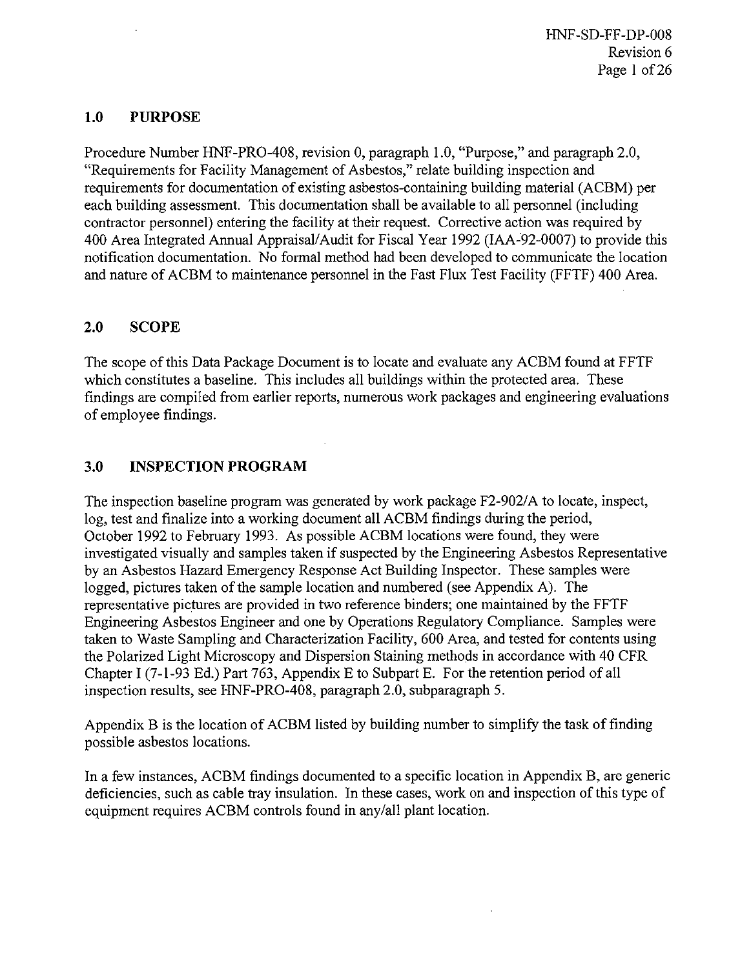HNF-SD-FF-DP-O08 Revision 6 Page 1 of 26

#### 1.0 PURPOSE

Procedure Number HNF-PRO-408, revision 0, paragraph 1.0, "Purpose," and paragraph 2.0, "Requirements for Facility Management of Asbestos," relate building inspection and requirements for documentation of existing asbestos-containing building material (ACBM) per each building assessment. This documentation shall be available to all personnel (including contractor personnel) entering the facility at their request. Corrective action was required by 400 Area Integrated Annual Appraisal/Audit for Fiscal Year 1992 (IAA-92-0007) to provide this notification documentation. No formal method had been developed to communicate the location and nature of ACBM to maintenance personnel in the Fast Flux Test Facility (FFTF) 400 Area.

#### **2.0** SCOPE

The scope of this Data Package Document is to locate and evaluate any ACBM found at FFTF which constitutes a baseline. This includes all buildings within the protected area. These tindings are compiled from earlier reports, numerous work packages and engineering evaluations of employee tindings.

#### **3.0** INSPECTION PROGRAM

The inspection baseline program was generated by work package F2-902/A to locate, inspect, log, test and finalize into a working document all ACBM findings during the period, October 1992 to February 1993. As possible ACBM locations were found, they were investigated visually and samples taken if suspected by the Engineering Asbestos Representative by an Asbestos Hazard Emergency Response Act Building Inspector. These samples were logged, pictures taken of the sample location and numbered (see Appendix A). The representative pictures are provided in two reference binders; one maintained by the FFTF Engineering Asbestos Engineer and one by Operations Regulatory Compliance. Samples were taken to Waste Sampling and Characterization Facility, 600 Area, and tested for contents using the Polarized Light Microscopy and Dispersion Staining methods in accordance with 40 CFR Chapter I (7-l-93 Ed.) Part 763, Appendix E to Subpart E. For the retention period of all inspection results, see HNF-PRO-408, paragraph 2.0, subparagraph 5.

Appendix B is the location of ACBM listed by building number to simplify the task of finding possible asbestos locations.

In a few instances, ACBM findings documented to a specific location in Appendix B, are generic deficiencies, such as cable tray insulation. In these cases, work on and inspection of this type of equipment requires ACBM controls found in any/all plant location.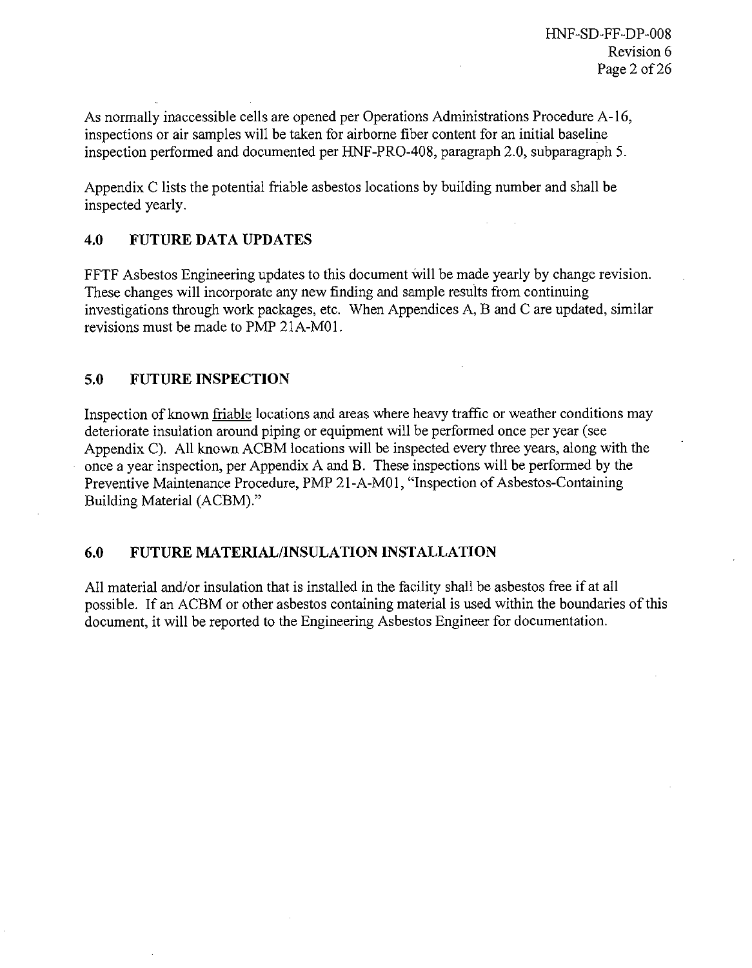As normally inaccessible cells are opened per Operations Administrations Procedure A-16, inspections or air samples will be taken for airborne fiber content for an initial baseline inspection performed and documented per HNF-PRO-408, paragraph 2.0, subparagraph 5.

Appendix C lists the potential friable asbestos locations by building number and shall be inspected yearly.

#### **4.0** FUTURE DATA UPDATES

FFTF Asbestos Engineering updates to this document will be made yearly by change revision. These changes will incorporate any new finding and sample results from continuing investigations through work packages, etc. When Appendices A,B and Care updated, similar revisions must be made to PMP 21A-M01.

### **5.0** FUTURE INSPECTION

Inspection of known friable locations and areas where heavy traffic or weather conditions may deteriorate insulation around piping or equipment will be performed once per year (see Appendix C). All known ACBM locations will be inspected every three years, along with the once a year inspection, per Appendix A and B. These inspections will be performed by the Preventive Maintenance Procedure, PMP 21-A-M01, "Inspection of Asbestos-Containing Building Material (ACBM)."

### 6.0 FUTURE MATERIAL/INSULATION INSTALLATION

All material and/or insulation that is installed in the facility shall be asbestos free if at all possible. If an ACBM or other asbestos containing material is used within the boundaries of this document, it will be reported to the Engineering Asbestos Engineer for documentation.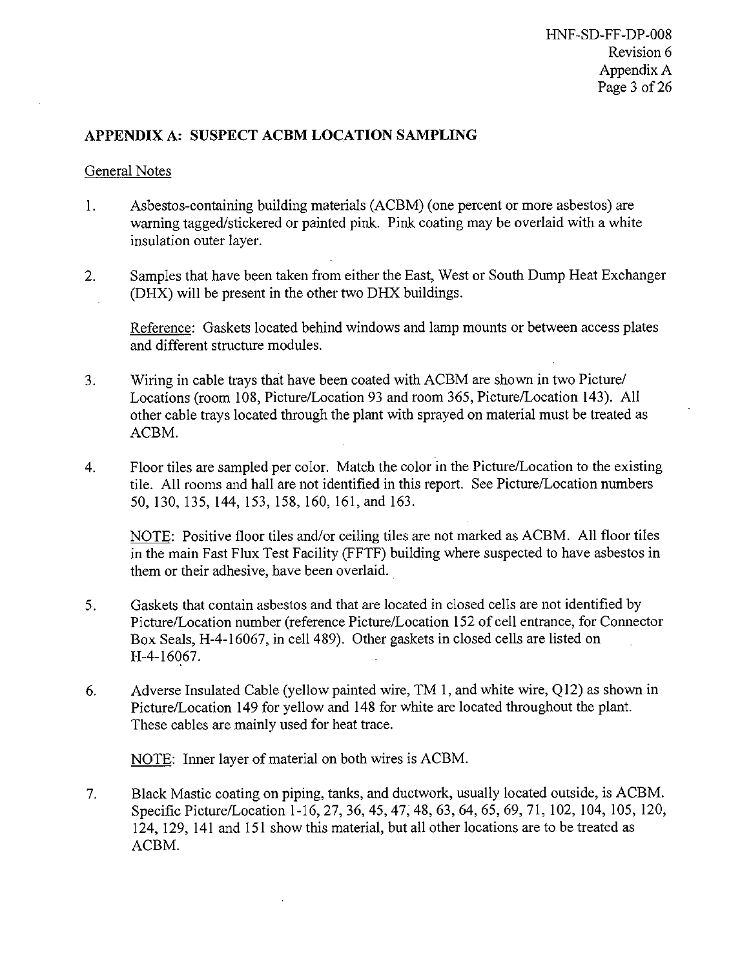### APPENDIX A: SUSPECT ACBM LOCATION SAMPLING

#### General Notes

- 1. Asbestos-containing building materials (ACBM) (one percent or more asbestos) are warning tagged/stickered or painted pink. Pink coating may be overlaid with a white insulation outer layer.
- **2.** Samples that have been taken from either the East, West or South Dump Heat Exchanger (DHX) will be present in the other two DHX buildings.

Reference: Gaskets located behind windows and lamp mounts or between access plates and different structure modules.

- **3.** Wiring in cable trays that have been coated with ACBM are shown in two Picture/ Locations (room 108, Picture/Location 93 and room 365, Picture/Location 143). All other cable trays located through the plant with sprayed on material must be treated as ACBM.
- **4.** Floor tiles are sampled per color. Match the color in the Picture/Location to the existing tile. All rooms and hall are not identified in this report. See Picture/Location numbers 50, 130, 135, 144, 153, 158, 160, 161, and 163.

NOTE: Positive floor tiles and/or ceiling tiles are not marked as ACBM. All floor tiles in the main Fast Flux Test Facility (FFTF) building where suspected to have asbestos in them or their adhesive, have been overlaid.

- **5.** Gaskets that contain asbestos and that are located in closed cells are not identified by Picture/Location number (reference Picture/Location 152 of cell entrance, for Connector Box Seals, H-4-16067, in cell 489). Other gaskets in closed cells are listed on H-4-16067.
- **6.** Adverse Insulated Cable (yellow painted wire, TM 1, and white wire, Q12) as shown in Picture/Location 149 for yellow and 148 for white are located throughout the plant. These cables are mainly used for heat trace.

NOTE: Inner layer of material on both wires is ACBM.

**7.** Black Mastic coating on piping, tanks, and ductwork, usually located outside, is ACBM. Specific Picture/Location 1-16,27,36,45,47,48, 63,64,65,69,71, 102, 104, 105, 120, 124, 129, 141 and 151 show this material, but all other locations are to be treated as ACBM.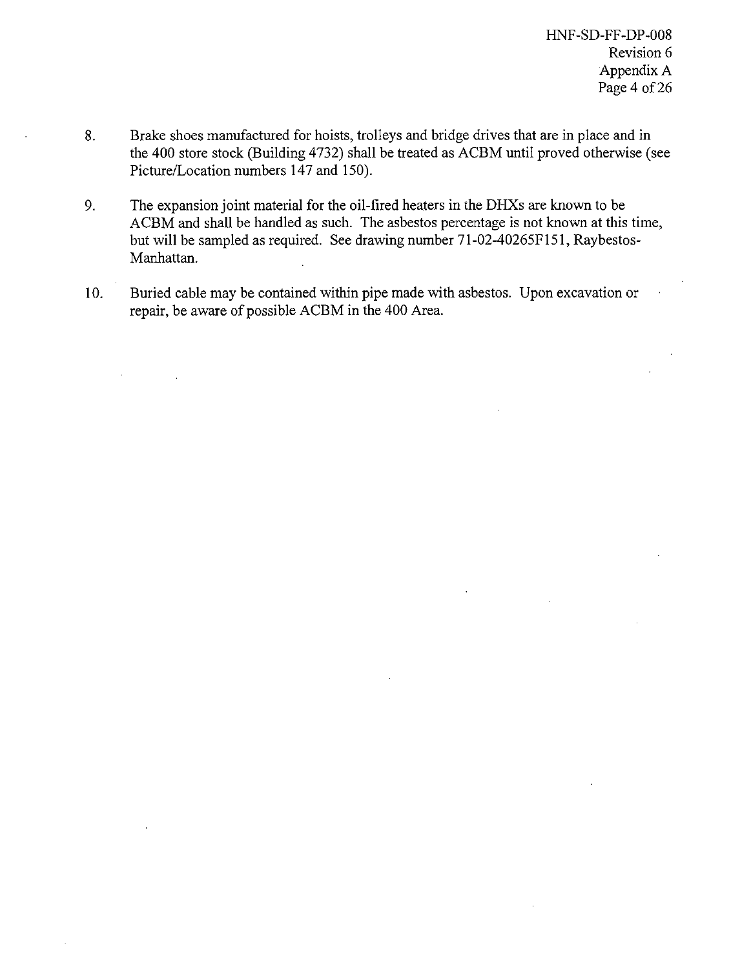- 8. Brake shoes manufactured for hoists, trolleys and bridge drives that are in place and in the 400 store stock (Building 4732) shall be treated as ACBM until proved otherwise (see Picture/Location numbers 147 and 150).
- 9. The expansion joint material for the oil-tired heaters in the DHXS are known to be ACBM and shall be handled as such. The asbestos percentage is not known at this time, but will be sampled as required. See drawing number 71-02-40265F151, Raybestos-Manhattan.
- 10. Buried cable may be contained within pipe made with asbestos. Upon excavation or repair, be aware of possible ACBM in the 400 Area.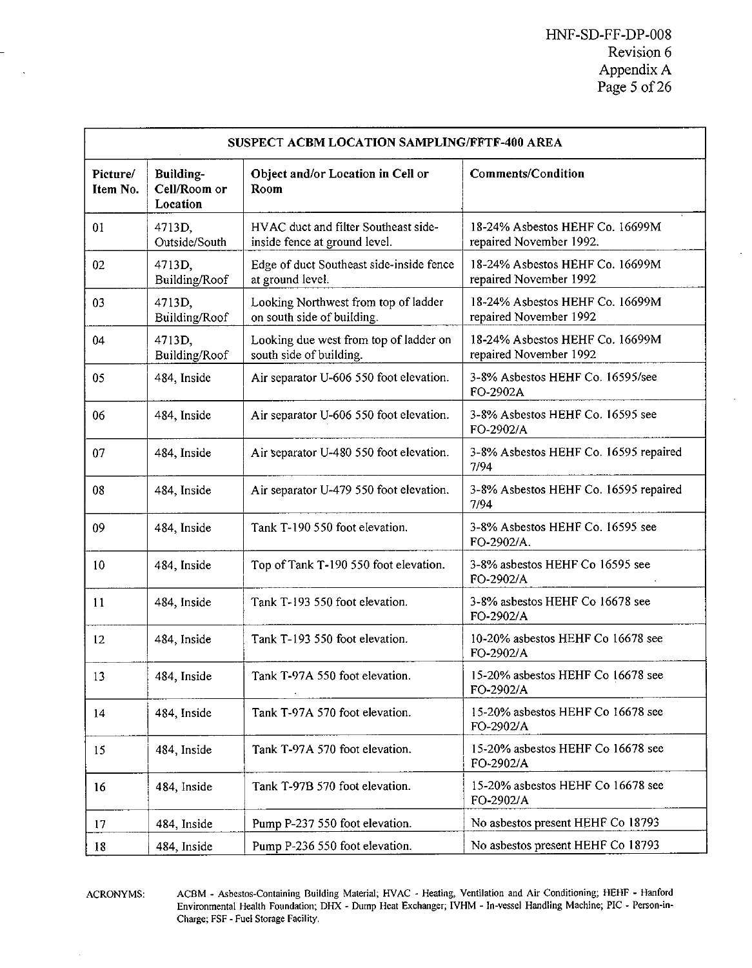|                      | SUSPECT ACBM LOCATION SAMPLING/FFTF-400 AREA |                                                                       |                                                            |  |  |  |  |
|----------------------|----------------------------------------------|-----------------------------------------------------------------------|------------------------------------------------------------|--|--|--|--|
| Picture/<br>Item No. | Building-<br>Cell/Room or<br>Location        | Object and/or Location in Cell or<br>Room                             | <b>Comments/Condition</b>                                  |  |  |  |  |
| 01                   | 4713D,<br>Outside/South                      | HVAC duct and filter Southeast side-<br>inside fence at ground level. | 18-24% Asbestos HEHF Co. 16699M<br>repaired November 1992. |  |  |  |  |
| 02                   | 4713D,<br>Building/Roof                      | Edge of duct Southeast side-inside fence<br>at ground level.          | 18-24% Asbestos HEHF Co. 16699M<br>repaired November 1992  |  |  |  |  |
| 03                   | 4713D,<br>Building/Roof                      | Looking Northwest from top of ladder<br>on south side of building.    | 18-24% Asbestos HEHF Co. 16699M<br>repaired November 1992  |  |  |  |  |
| 04                   | 4713D.<br>Building/Roof                      | Looking due west from top of ladder on<br>south side of building.     | 18-24% Asbestos HEHF Co. 16699M<br>repaired November 1992  |  |  |  |  |
| 05                   | 484, Inside                                  | Air separator U-606 550 foot elevation.                               | 3-8% Asbestos HEHF Co. 16595/see<br>FO-2902A               |  |  |  |  |
| 06                   | 484, Inside                                  | Air separator U-606 550 foot elevation.                               | 3-8% Asbestos HEHF Co. 16595 see<br>FO-2902/A              |  |  |  |  |
| 07                   | 484, Inside                                  | Air separator U-480 550 foot elevation.                               | 3-8% Asbestos HEHF Co. 16595 repaired<br>7/94              |  |  |  |  |
| 08                   | 484, Inside                                  | Air separator U-479 550 foot elevation.                               | 3-8% Asbestos HEHF Co. 16595 repaired<br>7/94              |  |  |  |  |
| 09                   | 484, Inside                                  | Tank T-190 550 foot elevation.                                        | 3-8% Asbestos HEHF Co. 16595 see<br>FO-2902/A.             |  |  |  |  |
| 10                   | 484, Inside                                  | Top of Tank T-190 550 foot elevation.                                 | 3-8% asbestos HEHF Co 16595 see<br>FO-2902/A               |  |  |  |  |
| 11                   | 484, Inside                                  | Tank T-193 550 foot elevation.                                        | 3-8% asbestos HEHF Co 16678 see<br>FO-2902/A               |  |  |  |  |
| 12                   | 484, Inside                                  | Tank T-193 550 foot elevation.                                        | 10-20% asbestos HEHF Co 16678 see<br>FO-2902/A             |  |  |  |  |
| 13                   | 484, Inside                                  | Tank T-97A 550 foot elevation.                                        | 15-20% asbestos HEHF Co 16678 see<br>FO-2902/A             |  |  |  |  |
| 14                   | 484, Inside                                  | Tank T-97A 570 foot elevation.                                        | 15-20% asbestos HEHF Co 16678 see<br>FO-2902/A             |  |  |  |  |
| 15                   | 484, Inside                                  | Tank T-97A 570 foot elevation.                                        | 15-20% asbestos HEHF Co 16678 see<br>FO-2902/A             |  |  |  |  |
| 16                   | 484, Inside                                  | Tank T-97B 570 foot elevation.                                        | 15-20% asbestos HEHF Co 16678 see<br>FO-2902/A             |  |  |  |  |
| 17                   | 484, Inside                                  | Pump P-237 550 foot elevation.                                        | No asbestos present HEHF Co 18793                          |  |  |  |  |
| 18                   | 484, Inside                                  | Pump P-236 550 foot elevation.                                        | No asbestos present HEHF Co 18793                          |  |  |  |  |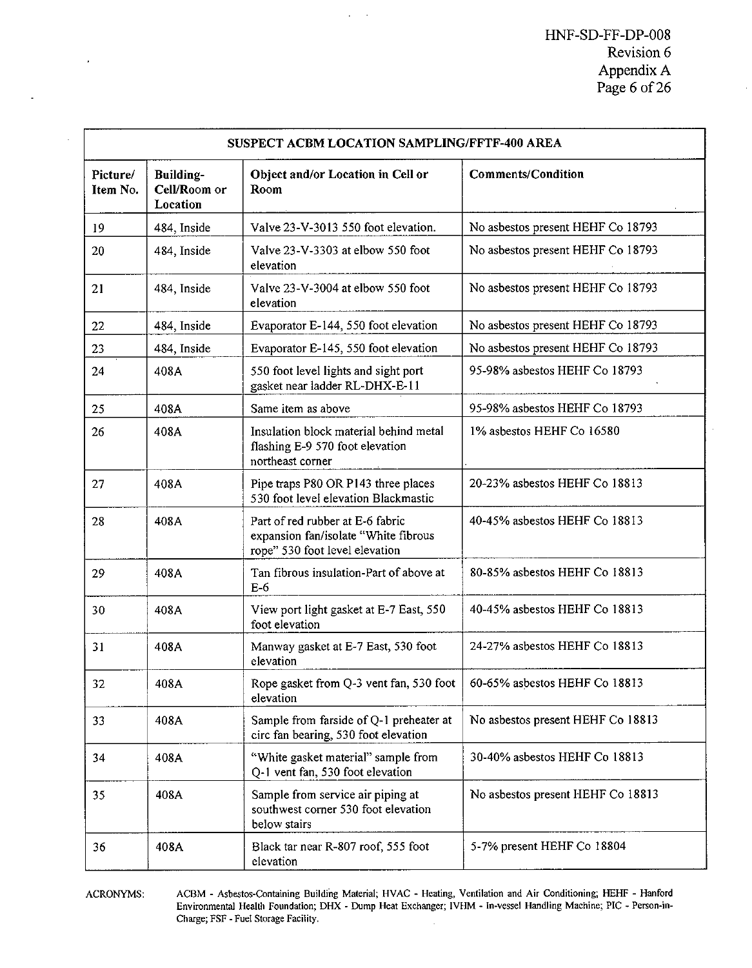|                      | SUSPECT ACBM LOCATION SAMPLING/FFTF-400 AREA |                                                                                                            |                                   |  |  |  |  |
|----------------------|----------------------------------------------|------------------------------------------------------------------------------------------------------------|-----------------------------------|--|--|--|--|
| Picture/<br>Item No. | Building-<br>Cell/Room or<br>Location        | Object and/or Location in Cell or<br>Room                                                                  | <b>Comments/Condition</b>         |  |  |  |  |
| 19                   | 484, Inside                                  | Valve 23-V-3013 550 foot elevation.                                                                        | No asbestos present HEHF Co 18793 |  |  |  |  |
| 20                   | 484, Inside                                  | Valve 23-V-3303 at elbow 550 foot<br>elevation                                                             | No asbestos present HEHF Co 18793 |  |  |  |  |
| 21                   | 484, Inside                                  | Valve 23-V-3004 at elbow 550 foot<br>elevation                                                             | No asbestos present HEHF Co 18793 |  |  |  |  |
| 22                   | 484, Inside                                  | Evaporator E-144, 550 foot elevation                                                                       | No asbestos present HEHF Co 18793 |  |  |  |  |
| 23                   | 484, Inside                                  | Evaporator E-145, 550 foot elevation                                                                       | No asbestos present HEHF Co 18793 |  |  |  |  |
| 24                   | 408A                                         | 550 foot level lights and sight port<br>gasket near ladder RL-DHX-E-11                                     | 95-98% asbestos HEHF Co 18793     |  |  |  |  |
| 25                   | 408A                                         | Same item as above                                                                                         | 95-98% asbestos HEHF Co 18793     |  |  |  |  |
| 26                   | 408A                                         | Insulation block material behind metal<br>flashing E-9 570 foot elevation<br>northeast corner              | 1% asbestos HEHF Co 16580         |  |  |  |  |
| 27                   | 408A                                         | Pipe traps P80 OR P143 three places<br>530 foot level elevation Blackmastic                                | 20-23% asbestos HEHF Co 18813     |  |  |  |  |
| 28                   | 408A                                         | Part of red rubber at E-6 fabric<br>expansion fan/isolate "White fibrous<br>rope" 530 foot level elevation | 40-45% asbestos HEHF Co 18813     |  |  |  |  |
| 29                   | 408A                                         | Tan fibrous insulation-Part of above at<br>$E-6$                                                           | 80-85% asbestos HEHF Co 18813     |  |  |  |  |
| 30                   | 408A                                         | View port light gasket at E-7 East, 550<br>foot elevation                                                  | 40-45% asbestos HEHF Co 18813     |  |  |  |  |
| 31                   | 408A                                         | Manway gasket at E-7 East, 530 foot<br>elevation                                                           | 24-27% asbestos HEHF Co 18813     |  |  |  |  |
| 32                   | 408A                                         | Rope gasket from Q-3 vent fan, 530 foot<br>elevation                                                       | 60-65% asbestos HEHF Co 18813     |  |  |  |  |
| 33                   | 408A                                         | Sample from farside of Q-1 preheater at<br>circ fan bearing, 530 foot elevation                            | No asbestos present HEHF Co 18813 |  |  |  |  |
| 34                   | 408A                                         | "White gasket material" sample from<br>Q-1 vent fan, 530 foot elevation                                    | 30-40% asbestos HEHF Co 18813     |  |  |  |  |
| 35                   | 408A                                         | Sample from service air piping at<br>southwest corner 530 foot elevation<br>below stairs                   | No asbestos present HEHF Co 18813 |  |  |  |  |
| 36                   | 408A                                         | Black tar near R-807 roof, 555 foot<br>elevation                                                           | 5-7% present HEHF Co 18804        |  |  |  |  |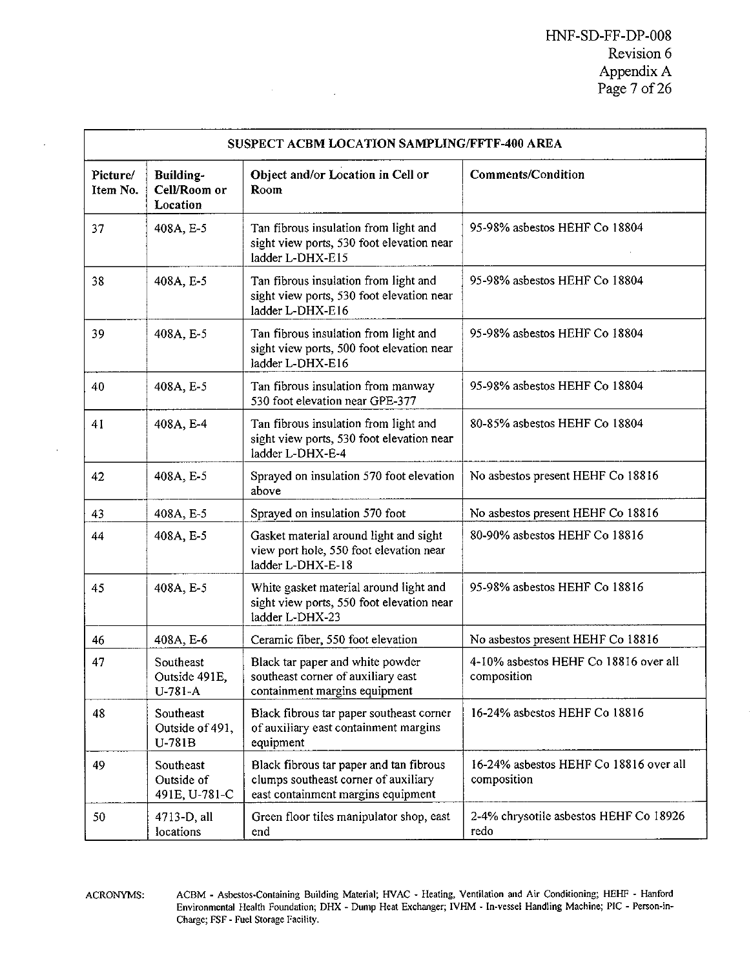|                      | SUSPECT ACBM LOCATION SAMPLING/FFTF-400 AREA |                                                                                                                       |                                                       |  |  |
|----------------------|----------------------------------------------|-----------------------------------------------------------------------------------------------------------------------|-------------------------------------------------------|--|--|
| Picture/<br>Item No. | <b>Building-</b><br>Cell/Room or<br>Location | Object and/or Location in Cell or<br>Room                                                                             | Comments/Condition                                    |  |  |
| 37                   | 408A, E-5                                    | Tan fibrous insulation from light and<br>sight view ports, 530 foot elevation near<br>ladder L-DHX-E15                | 95-98% asbestos HEHF Co 18804                         |  |  |
| 38                   | 408A, E-5                                    | Tan fibrous insulation from light and<br>sight view ports, 530 foot elevation near<br>ladder L-DHX-E16                | 95-98% asbestos HEHF Co 18804                         |  |  |
| 39                   | 408A, E-5                                    | Tan fibrous insulation from light and<br>sight view ports, 500 foot elevation near<br>ladder L-DHX-E16                | 95-98% asbestos HEHF Co 18804                         |  |  |
| 40                   | 408A, E-5                                    | Tan fibrous insulation from manway<br>530 foot elevation near GPE-377                                                 | 95-98% asbestos HEHF Co 18804                         |  |  |
| 41                   | 408A, E-4                                    | Tan fibrous insulation from light and<br>sight view ports, 530 foot elevation near<br>ladder L-DHX-E-4                | 80-85% asbestos HEHF Co 18804                         |  |  |
| 42                   | 408A, E-5                                    | Sprayed on insulation 570 foot elevation<br>above                                                                     | No asbestos present HEHF Co 18816                     |  |  |
| 43                   | 408A, E-5                                    | Sprayed on insulation 570 foot                                                                                        | No asbestos present HEHF Co 18816                     |  |  |
| 44                   | 408A, E-5                                    | Gasket material around light and sight<br>view port hole, 550 foot elevation near<br>ladder L-DHX-E-18                | 80-90% asbestos HEHF Co 18816                         |  |  |
| 45                   | 408A, E-5                                    | White gasket material around light and<br>sight view ports, 550 foot elevation near<br>ladder L-DHX-23                | 95-98% asbestos HEHF Co 18816                         |  |  |
| 46                   | 408A, E-6                                    | Ceramic fiber, 550 foot elevation                                                                                     | No asbestos present HEHF Co 18816                     |  |  |
| 47                   | Southeast<br>Outside 491E,<br>$U-781-A$      | Black tar paper and white powder<br>southeast corner of auxiliary east<br>containment margins equipment               | 4-10% asbestos HEHF Co 18816 over all<br>composition  |  |  |
| 48                   | Southeast<br>Outside of 491,<br>U-781B       | Black fibrous tar paper southeast corner<br>of auxiliary east containment margins<br>equipment                        | 16-24% asbestos HEHF Co 18816                         |  |  |
| 49                   | Southeast<br>Outside of<br>491E, U-781-C     | Black fibrous tar paper and tan fibrous<br>clumps southeast corner of auxiliary<br>east containment margins equipment | 16-24% asbestos HEHF Co 18816 over all<br>composition |  |  |
| 50                   | 4713-D, all<br>locations                     | Green floor tiles manipulator shop, east<br>end                                                                       | 2-4% chrysotile asbestos HEHF Co 18926<br>redo        |  |  |

 $\mathcal{H}^{\text{max}}_{\text{max}}$  and  $\mathcal{H}^{\text{max}}_{\text{max}}$ 

 $\cdot$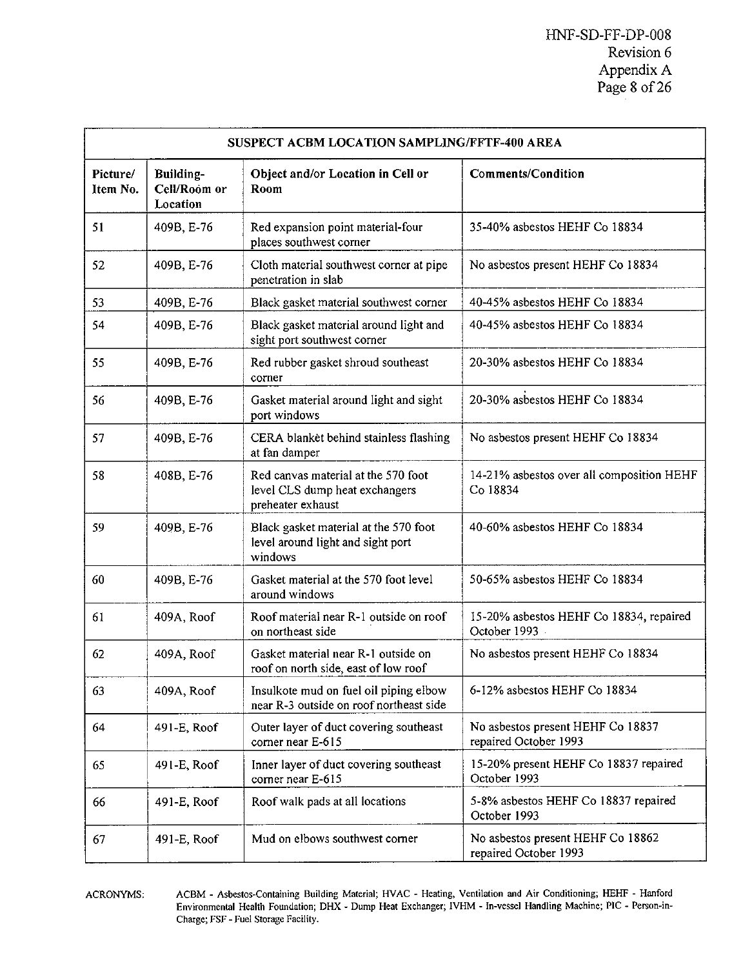|                      | SUSPECT ACBM LOCATION SAMPLING/FFTF-400 AREA |                                                                                            |                                                            |  |  |
|----------------------|----------------------------------------------|--------------------------------------------------------------------------------------------|------------------------------------------------------------|--|--|
| Picture/<br>Item No. | <b>Building-</b><br>Cell/Room or<br>Location | Object and/or Location in Cell or<br>Room                                                  | <b>Comments/Condition</b>                                  |  |  |
| 51                   | 409B, E-76                                   | Red expansion point material-four<br>places southwest corner                               | 35-40% asbestos HEHF Co 18834                              |  |  |
| 52                   | 409B, E-76                                   | Cloth material southwest corner at pipe<br>penetration in slab                             | No asbestos present HEHF Co 18834                          |  |  |
| 53                   | 409B, E-76                                   | Black gasket material southwest corner                                                     | 40-45% asbestos HEHF Co 18834                              |  |  |
| 54                   | 409B, E-76                                   | Black gasket material around light and<br>sight port southwest corner                      | 40-45% asbestos HEHF Co 18834                              |  |  |
| 55                   | 409B, E-76                                   | Red rubber gasket shroud southeast<br>corner                                               | 20-30% asbestos HEHF Co 18834                              |  |  |
| 56                   | 409B, E-76                                   | Gasket material around light and sight<br>port windows                                     | 20-30% asbestos HEHF Co 18834                              |  |  |
| 57                   | 409B, E-76                                   | CERA blanket behind stainless flashing<br>at fan damper                                    | No asbestos present HEHF Co 18834                          |  |  |
| 58                   | 408B, E-76                                   | Red canvas material at the 570 foot<br>level CLS dump heat exchangers<br>preheater exhaust | 14-21% asbestos over all composition HEHF<br>Co 18834      |  |  |
| 59                   | 409B, E-76                                   | Black gasket material at the 570 foot<br>level around light and sight port<br>windows      | 40-60% asbestos HEHF Co 18834                              |  |  |
| 60                   | 409B, E-76                                   | Gasket material at the 570 foot level<br>around windows                                    | 50-65% asbestos HEHF Co 18834                              |  |  |
| 61                   | 409A, Roof                                   | Roof material near R-1 outside on roof<br>on northeast side                                | 15-20% asbestos HEHF Co 18834, repaired<br>October 1993    |  |  |
| 62                   | 409A, Roof                                   | Gasket material near R-1 outside on<br>roof on north side, east of low roof                | No asbestos present HEHF Co 18834                          |  |  |
| 63                   | 409A, Roof                                   | Insulkote mud on fuel oil piping elbow<br>near R-3 outside on roof northeast side          | 6-12% asbestos HEHF Co 18834                               |  |  |
| 64                   | 491-E, Roof                                  | Outer layer of duct covering southeast<br>corner near E-615                                | No asbestos present HEHF Co 18837<br>repaired October 1993 |  |  |
| 65                   | 491-E, Roof                                  | Inner layer of duct covering southeast<br>corner near E-615                                | 15-20% present HEHF Co 18837 repaired<br>October 1993      |  |  |
| 66                   | 491-E, Roof                                  | Roof walk pads at all locations                                                            | 5-8% asbestos HEHF Co 18837 repaired<br>October 1993       |  |  |
| 67                   | 491-E, Roof                                  | Mud on elbows southwest corner                                                             | No asbestos present HEHF Co 18862<br>repaired October 1993 |  |  |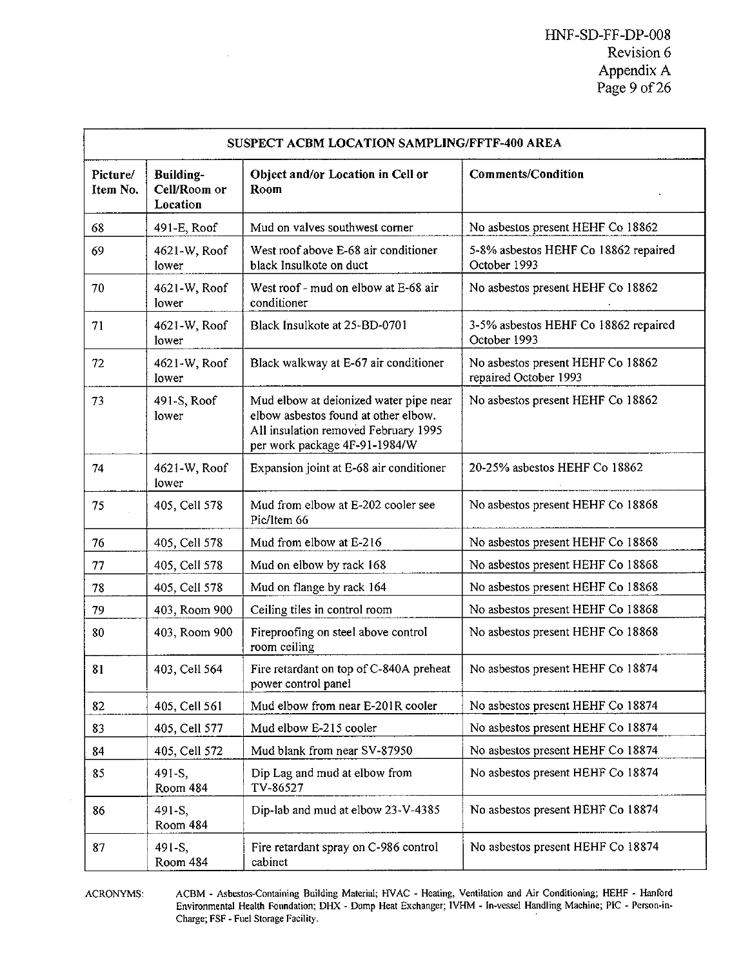| SUSPECT ACBM LOCATION SAMPLING/FFTF-400 AREA |                                       |                                                                                                                                                         |                                                            |  |
|----------------------------------------------|---------------------------------------|---------------------------------------------------------------------------------------------------------------------------------------------------------|------------------------------------------------------------|--|
| Picture/<br>Item No.                         | Building-<br>Cell/Room or<br>Location | Object and/or Location in Cell or<br>Room                                                                                                               | <b>Comments/Condition</b>                                  |  |
| 68                                           | 491-E, Roof                           | Mud on valves southwest corner                                                                                                                          | No asbestos present HEHF Co 18862                          |  |
| 69                                           | 4621-W, Roof<br>lower                 | West roof above E-68 air conditioner<br>black Insulkote on duct                                                                                         | 5-8% asbestos HEHF Co 18862 repaired<br>October 1993       |  |
| 70                                           | 4621-W, Roof<br>lower                 | West roof - mud on elbow at E-68 air<br>conditioner                                                                                                     | No asbestos present HEHF Co 18862                          |  |
| 71                                           | 4621-W, Roof<br>lower                 | Black Insulkote at 25-BD-0701                                                                                                                           | 3-5% asbestos HEHF Co 18862 repaired<br>October 1993       |  |
| 72                                           | 4621-W, Roof<br>lower                 | Black walkway at E-67 air conditioner                                                                                                                   | No asbestos present HEHF Co 18862<br>repaired October 1993 |  |
| 73                                           | 491-S, Roof<br>lower                  | Mud elbow at deionized water pipe near<br>elbow asbestos found at other elbow.<br>All insulation removed February 1995<br>per work package 4F-91-1984/W | No asbestos present HEHF Co 18862                          |  |
| 74                                           | 4621-W, Roof<br>lower                 | Expansion joint at E-68 air conditioner                                                                                                                 | 20-25% asbestos HEHF Co 18862                              |  |
| 75                                           | 405, Cell 578                         | Mud from elbow at E-202 cooler see<br>Pic/Item 66                                                                                                       | No asbestos present HEHF Co 18868                          |  |
| 76                                           | 405, Cell 578                         | Mud from elbow at E-216                                                                                                                                 | No asbestos present HEHF Co 18868                          |  |
| 77                                           | 405, Cell 578                         | Mud on elbow by rack 168                                                                                                                                | No asbestos present HEHF Co 18868                          |  |
| 78                                           | 405, Cell 578                         | Mud on flange by rack 164                                                                                                                               | No asbestos present HEHF Co 18868                          |  |
| 79                                           | 403, Room 900                         | Ceiling tiles in control room                                                                                                                           | No asbestos present HEHF Co 18868                          |  |
| 80                                           | 403, Room 900                         | Fireproofing on steel above control<br>room ceiling                                                                                                     | No asbestos present HEHF Co 18868                          |  |
| 81                                           | 403, Cell 564                         | Fire retardant on top of C-840A preheat<br>power control panel                                                                                          | No asbestos present HEHF Co 18874                          |  |
| 82                                           | 405, Cell 561                         | Mud elbow from near E-201R cooler                                                                                                                       | No asbestos present HEHF Co 18874                          |  |
| 83                                           | 405, Cell 577                         | Mud elbow E-215 cooler                                                                                                                                  | No asbestos present HEHF Co 18874                          |  |
| 84                                           | 405, Cell 572                         | Mud blank from near SV-87950                                                                                                                            | No asbestos present HEHF Co 18874                          |  |
| 85                                           | 491-S.<br>Room 484                    | Dip Lag and mud at elbow from<br>TV-86527                                                                                                               | No asbestos present HEHF Co 18874                          |  |
| 86                                           | 491-S.<br>Room 484                    | Dip-lab and mud at elbow 23-V-4385                                                                                                                      | No asbestos present HEHF Co 18874                          |  |
| 87                                           | 491-S.<br>Room 484                    | Fire retardant spray on C-986 control<br>cabinet                                                                                                        | No asbestos present HEHF Co 18874                          |  |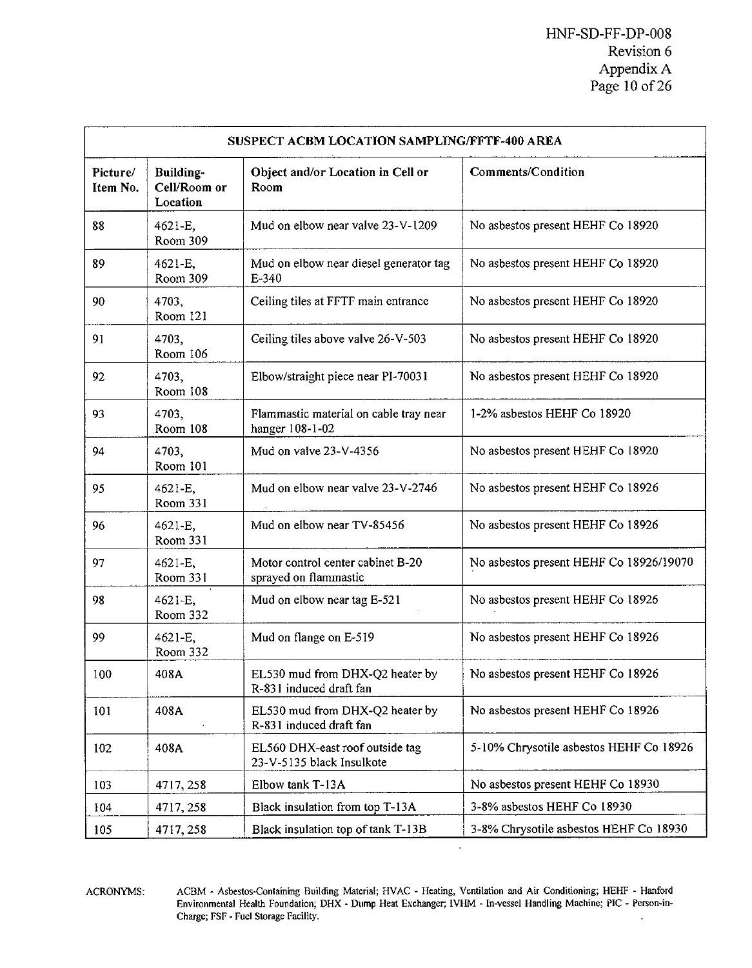|                      | SUSPECT ACBM LOCATION SAMPLING/FFTF-400 AREA |                                                              |                                         |  |  |
|----------------------|----------------------------------------------|--------------------------------------------------------------|-----------------------------------------|--|--|
| Picture/<br>Item No. | Building-<br>Cell/Room or<br>Location        | Object and/or Location in Cell or<br>Room                    | Comments/Condition                      |  |  |
| 88                   | 4621-E,<br>Room 309                          | Mud on elbow near valve 23-V-1209                            | No asbestos present HEHF Co 18920       |  |  |
| 89                   | 4621-E.<br>Room 309                          | Mud on elbow near diesel generator tag<br>$E - 340$          | No asbestos present HEHF Co 18920       |  |  |
| 90                   | 4703,<br>Room 121                            | Ceiling tiles at FFTF main entrance                          | No asbestos present HEHF Co 18920       |  |  |
| 91                   | 4703.<br>Room 106                            | Ceiling tiles above valve 26-V-503                           | No asbestos present HEHF Co 18920       |  |  |
| 92                   | 4703.<br>Room 108                            | Elbow/straight piece near PI-70031                           | No asbestos present HEHF Co 18920       |  |  |
| 93                   | 4703,<br>Room 108                            | Flammastic material on cable tray near<br>hanger 108-1-02    | 1-2% asbestos HEHF Co 18920             |  |  |
| 94                   | 4703.<br>Room 101                            | Mud on valve 23-V-4356                                       | No asbestos present HEHF Co 18920       |  |  |
| 95                   | 4621-E,<br>Room 331                          | Mud on elbow near valve 23-V-2746                            | No asbestos present HEHF Co 18926       |  |  |
| 96                   | 4621-E.<br>Room 331                          | Mud on elbow near TV-85456                                   | No asbestos present HEHF Co 18926       |  |  |
| 97                   | 4621-E,<br>Room 331                          | Motor control center cabinet B-20<br>sprayed on flammastic   | No asbestos present HEHF Co 18926/19070 |  |  |
| 98                   | 4621-E,<br>Room 332                          | Mud on elbow near tag E-521                                  | No asbestos present HEHF Co 18926       |  |  |
| 99                   | 4621-E,<br>Room 332                          | Mud on flange on E-519                                       | No asbestos present HEHF Co 18926       |  |  |
| 100                  | 408A                                         | EL530 mud from DHX-Q2 heater by<br>R-831 induced draft fan   | No asbestos present HEHF Co 18926       |  |  |
| 101                  | 408A                                         | EL530 mud from DHX-Q2 heater by<br>R-831 induced draft fan   | No asbestos present HEHF Co 18926       |  |  |
| 102                  | 408A                                         | EL560 DHX-east roof outside tag<br>23-V-5135 black Insulkote | 5-10% Chrysotile asbestos HEHF Co 18926 |  |  |
| 103                  | 4717, 258                                    | Elbow tank T-13A                                             | No asbestos present HEHF Co 18930       |  |  |
| 104                  | 4717, 258                                    | Black insulation from top T-13A                              | 3-8% asbestos HEHF Co 18930             |  |  |
| 105                  | 4717, 258                                    | Black insulation top of tank T-13B                           | 3-8% Chrysotile asbestos HEHF Co 18930  |  |  |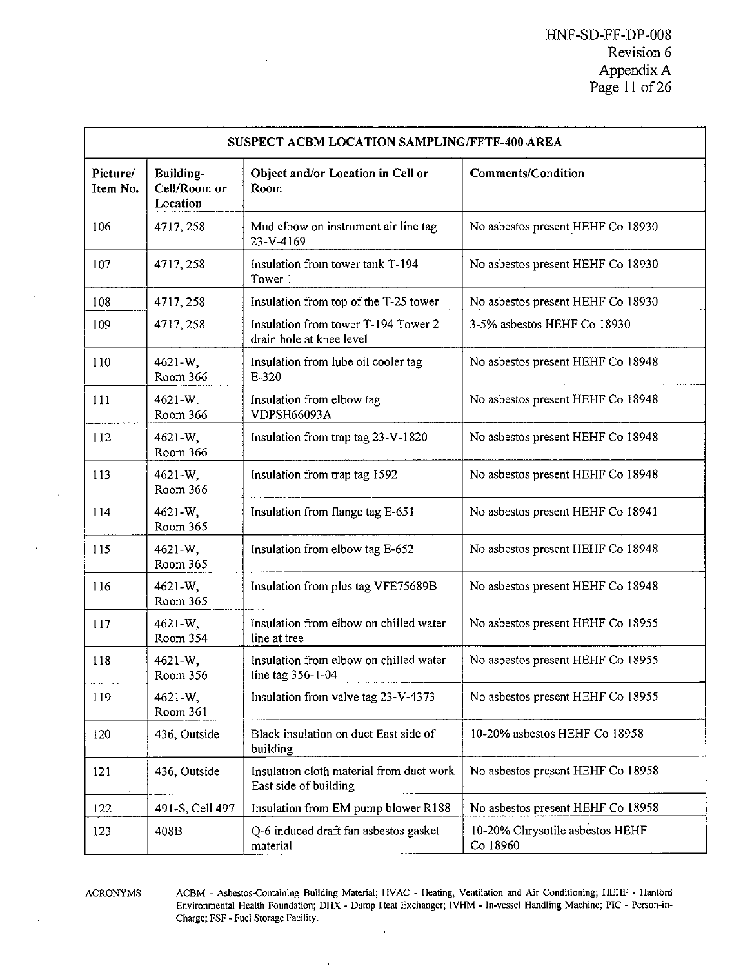|                      | SUSPECT ACBM LOCATION SAMPLING/FFTF-400 AREA |                                                                   |                                             |  |  |
|----------------------|----------------------------------------------|-------------------------------------------------------------------|---------------------------------------------|--|--|
| Picture/<br>Item No. | Building-<br>Cell/Room or<br>Location        | Object and/or Location in Cell or<br>Room                         | <b>Comments/Condition</b>                   |  |  |
| 106                  | 4717, 258                                    | Mud elbow on instrument air line tag<br>23-V-4169                 | No asbestos present HEHF Co 18930           |  |  |
| 107                  | 4717, 258                                    | Insulation from tower tank T-194<br>Tower 1                       | No asbestos present HEHF Co 18930           |  |  |
| 108                  | 4717, 258                                    | Insulation from top of the T-25 tower                             | No asbestos present HEHF Co 18930           |  |  |
| 109                  | 4717, 258                                    | Insulation from tower T-194 Tower 2<br>drain hole at knee level   | 3-5% asbestos HEHF Co 18930                 |  |  |
| 110                  | 4621-W,<br>Room 366                          | Insulation from lube oil cooler tag<br>$E-320$                    | No asbestos present HEHF Co 18948           |  |  |
| 111                  | 4621-W.<br>Room 366                          | Insulation from elbow tag<br><b>VDPSH66093A</b>                   | No asbestos present HEHF Co 18948           |  |  |
| 112                  | 4621-W.<br>Room 366                          | Insulation from trap tag 23-V-1820                                | No asbestos present HEHF Co 18948           |  |  |
| 113                  | 4621-W.<br>Room 366                          | Insulation from trap tag 1592                                     | No asbestos present HEHF Co 18948           |  |  |
| 114                  | 4621-W.<br>Room 365                          | Insulation from flange tag E-651                                  | No asbestos present HEHF Co 18941           |  |  |
| 115                  | 4621-W,<br>Room 365                          | Insulation from elbow tag E-652                                   | No asbestos present HEHF Co 18948           |  |  |
| 116                  | 4621-W.<br>Room 365                          | Insulation from plus tag VFE75689B                                | No asbestos present HEHF Co 18948           |  |  |
| 117                  | 4621-W,<br>Room 354                          | Insulation from elbow on chilled water<br>line at tree            | No asbestos present HEHF Co 18955           |  |  |
| 118                  | 4621-W.<br>Room 356                          | Insulation from elbow on chilled water<br>line tag 356-1-04       | No asbestos present HEHF Co 18955           |  |  |
| 119                  | 4621-W.<br>Room 361                          | Insulation from valve tag 23-V-4373                               | No asbestos present HEHF Co 18955           |  |  |
| 120                  | 436, Outside                                 | Black insulation on duct East side of<br>building                 | 10-20% asbestos HEHF Co 18958               |  |  |
| 121                  | 436, Outside                                 | Insulation cloth material from duct work<br>East side of building | No asbestos present HEHF Co 18958           |  |  |
| 122                  | 491-S, Cell 497                              | Insulation from EM pump blower R188                               | No asbestos present HEHF Co 18958           |  |  |
| 123                  | 408B                                         | Q-6 induced draft fan asbestos gasket<br>material                 | 10-20% Chrysotile asbestos HEHF<br>Co 18960 |  |  |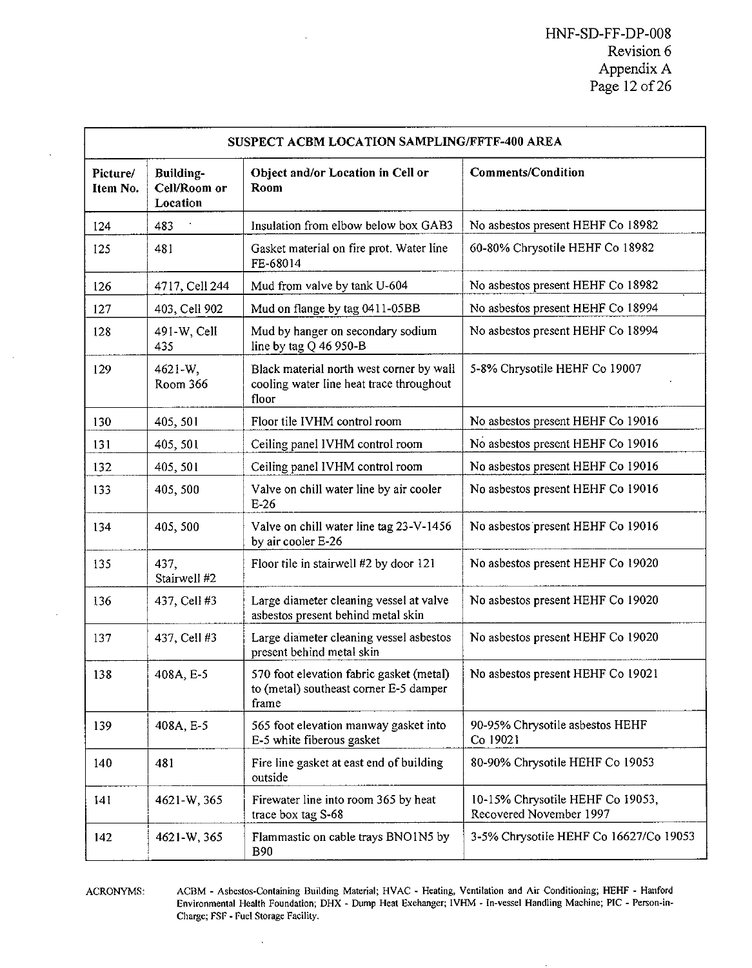|                      | SUSPECT ACBM LOCATION SAMPLING/FFTF-400 AREA |                                                                                               |                                                             |  |
|----------------------|----------------------------------------------|-----------------------------------------------------------------------------------------------|-------------------------------------------------------------|--|
| Picture/<br>Item No. | Building-<br>Cell/Room or<br>Location        | Object and/or Location in Cell or<br>Room                                                     | <b>Comments/Condition</b>                                   |  |
| 124                  | 483                                          | Insulation from elbow below box GAB3                                                          | No asbestos present HEHF Co 18982                           |  |
| 125                  | 481                                          | Gasket material on fire prot. Water line<br>FE-68014                                          | 60-80% Chrysotile HEHF Co 18982                             |  |
| 126                  | 4717, Cell 244                               | Mud from valve by tank U-604                                                                  | No asbestos present HEHF Co 18982                           |  |
| 127                  | 403, Cell 902                                | Mud on flange by tag 0411-05BB                                                                | No asbestos present HEHF Co 18994                           |  |
| 128                  | 491-W, Cell<br>435                           | Mud by hanger on secondary sodium<br>line by tag $Q$ 46 950-B                                 | No asbestos present HEHF Co 18994                           |  |
| 129                  | 4621-W.<br>Room 366                          | Black material north west corner by wall<br>cooling water line heat trace throughout<br>floor | 5-8% Chrysotile HEHF Co 19007                               |  |
| 130                  | 405, 501                                     | Floor tile IVHM control room                                                                  | No asbestos present HEHF Co 19016                           |  |
| 131                  | 405, 501                                     | Ceiling panel IVHM control room                                                               | No asbestos present HEHF Co 19016                           |  |
| 132                  | 405, 501                                     | Ceiling panel IVHM control room                                                               | No asbestos present HEHF Co 19016                           |  |
| 133                  | 405, 500                                     | Valve on chill water line by air cooler<br>$E-26$                                             | No asbestos present HEHF Co 19016                           |  |
| 134                  | 405, 500                                     | Valve on chill water line tag 23-V-1456<br>by air cooler E-26                                 | No asbestos present HEHF Co 19016                           |  |
| 135                  | 437.<br>Stairwell #2                         | Floor tile in stairwell #2 by door 121                                                        | No asbestos present HEHF Co 19020                           |  |
| 136                  | 437, Cell #3                                 | Large diameter cleaning vessel at valve<br>asbestos present behind metal skin                 | No asbestos present HEHF Co 19020                           |  |
| 137                  | 437, Cell #3                                 | Large diameter cleaning vessel asbestos<br>present behind metal skin                          | No asbestos present HEHF Co 19020                           |  |
| 138                  | 408A, E-5                                    | 570 foot elevation fabric gasket (metal)<br>to (metal) southeast corner E-5 damper<br>frame   | No asbestos present HEHF Co 19021                           |  |
| 139                  | 408A, E-5                                    | 565 foot elevation manway gasket into<br>E-5 white fiberous gasket                            | 90-95% Chrysotile asbestos HEHF<br>Co 19021                 |  |
| 140                  | 481                                          | Fire line gasket at east end of building<br>outside                                           | 80-90% Chrysotile HEHF Co 19053                             |  |
| 141                  | 4621-W, 365                                  | Firewater line into room 365 by heat<br>trace box tag S-68                                    | 10-15% Chrysotile HEHF Co 19053,<br>Recovered November 1997 |  |
| 142                  | 4621-W, 365                                  | Flammastic on cable trays BNO1N5 by<br><b>B90</b>                                             | 3-5% Chrysotile HEHF Co 16627/Co 19053                      |  |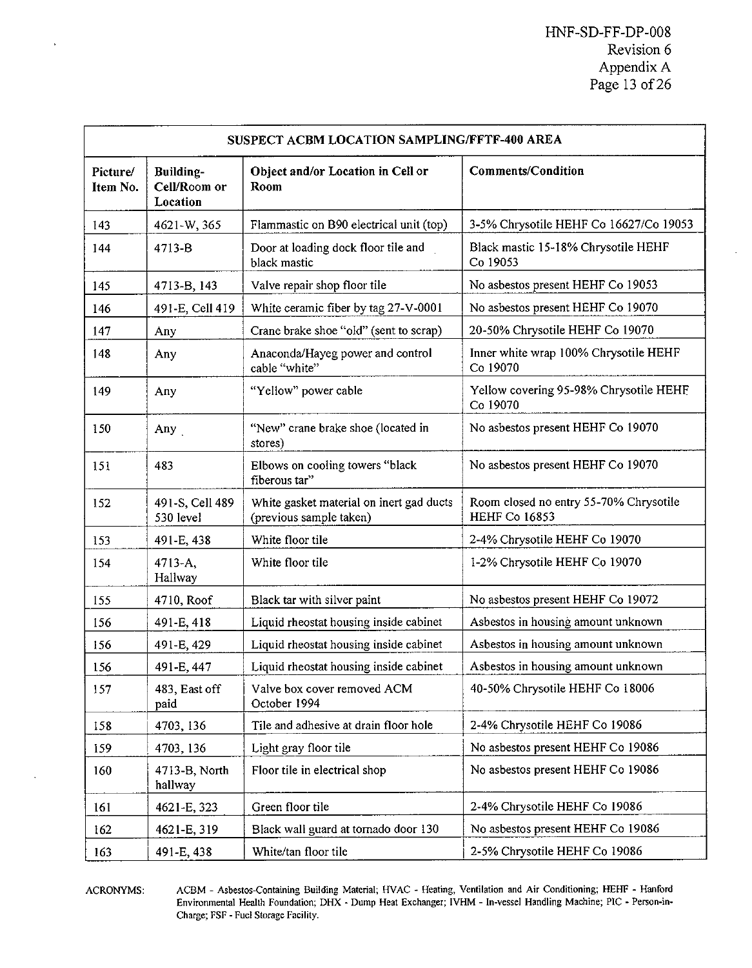| SUSPECT ACBM LOCATION SAMPLING/FFTF-400 AREA |                                       |                                                                     |                                                                |  |
|----------------------------------------------|---------------------------------------|---------------------------------------------------------------------|----------------------------------------------------------------|--|
| Picture/<br>Item No.                         | Building-<br>Cell/Room or<br>Location | Object and/or Location in Cell or<br>Room                           | <b>Comments/Condition</b>                                      |  |
| 143                                          | 4621-W, 365                           | Flammastic on B90 electrical unit (top)                             | 3-5% Chrysotile HEHF Co 16627/Co 19053                         |  |
| 144                                          | 4713-B                                | Door at loading dock floor tile and<br>black mastic                 | Black mastic 15-18% Chrysotile HEHF<br>Co 19053                |  |
| 145                                          | 4713-B, 143                           | Valve repair shop floor tile                                        | No asbestos present HEHF Co 19053                              |  |
| 146                                          | 491-E, Cell 419                       | White ceramic fiber by tag 27-V-0001                                | No asbestos present HEHF Co 19070                              |  |
| 147                                          | Any                                   | Crane brake shoe "old" (sent to scrap)                              | 20-50% Chrysotile HEHF Co 19070                                |  |
| 148                                          | Any                                   | Anaconda/Hayeg power and control<br>cable "white"                   | Inner white wrap 100% Chrysotile HEHF<br>Co 19070              |  |
| 149                                          | Any                                   | "Yellow" power cable                                                | Yellow covering 95-98% Chrysotile HEHF<br>Co 19070             |  |
| 150                                          | Any                                   | "New" crane brake shoe (located in<br>stores)                       | No asbestos present HEHF Co 19070                              |  |
| 151                                          | 483                                   | Elbows on cooling towers "black<br>fiberous tar"                    | No asbestos present HEHF Co 19070                              |  |
| 152                                          | 491-S, Cell 489<br>530 level          | White gasket material on inert gad ducts<br>(previous sample taken) | Room closed no entry 55-70% Chrysotile<br><b>HEHF Co 16853</b> |  |
| 153                                          | 491-E, 438                            | White floor tile                                                    | 2-4% Chrysotile HEHF Co 19070                                  |  |
| 154                                          | 4713-A,<br>Hallway                    | White floor tile                                                    | 1-2% Chrysotile HEHF Co 19070                                  |  |
| 155                                          | 4710, Roof                            | Black tar with silver paint                                         | No asbestos present HEHF Co 19072                              |  |
| 156                                          | 491-E, 418                            | Liquid rheostat housing inside cabinet                              | Asbestos in housing amount unknown                             |  |
| 156                                          | 491-E, 429                            | Liquid rheostat housing inside cabinet                              | Asbestos in housing amount unknown                             |  |
| 156                                          | 491-E, 447                            | Liquid rheostat housing inside cabinet                              | Asbestos in housing amount unknown                             |  |
| 157                                          | 483, East off<br>paid                 | Valve box cover removed ACM<br>October 1994                         | 40-50% Chrysotile HEHF Co 18006                                |  |
| 158                                          | 4703, 136                             | Tile and adhesive at drain floor hole                               | 2-4% Chrysotile HEHF Co 19086                                  |  |
| 159                                          | 4703, 136                             | Light gray floor tile                                               | No asbestos present HEHF Co 19086                              |  |
| 160                                          | 4713-B, North<br>hallway              | Floor tile in electrical shop                                       | No asbestos present HEHF Co 19086                              |  |
| 161                                          | 4621-E, 323                           | Green floor tile                                                    | 2-4% Chrysotile HEHF Co 19086                                  |  |
| 162                                          | 4621-E, 319                           | Black wall guard at tornado door 130                                | No asbestos present HEHF Co 19086                              |  |
| 163                                          | 491-E, 438                            | White/tan floor tile                                                | 2-5% Chrysotile HEHF Co 19086                                  |  |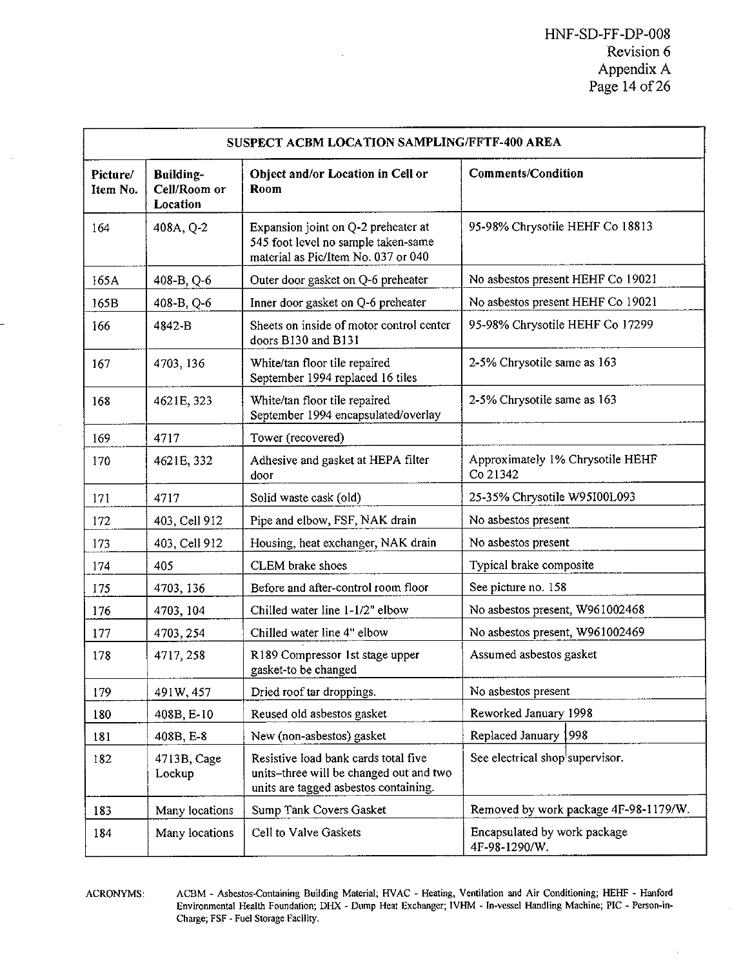|                      | SUSPECT ACBM LOCATION SAMPLING/FFTF-400 AREA |                                                                                                                          |                                               |  |  |
|----------------------|----------------------------------------------|--------------------------------------------------------------------------------------------------------------------------|-----------------------------------------------|--|--|
| Picture/<br>Item No. | <b>Building-</b><br>Cell/Room or<br>Location | Object and/or Location in Cell or<br>Room                                                                                | <b>Comments/Condition</b>                     |  |  |
| 164                  | 408A, Q-2                                    | Expansion joint on Q-2 preheater at<br>545 foot level no sample taken-same<br>material as Pic/Item No. 037 or 040        | 95-98% Chrysotile HEHF Co 18813               |  |  |
| 165A                 | 408-B, Q-6                                   | Outer door gasket on Q-6 preheater                                                                                       | No asbestos present HEHF Co 19021             |  |  |
| 165B                 | 408-B, Q-6                                   | Inner door gasket on Q-6 preheater                                                                                       | No asbestos present HEHF Co 19021             |  |  |
| 166                  | 4842-B                                       | Sheets on inside of motor control center<br>doors B130 and B131                                                          | 95-98% Chrysotile HEHF Co 17299               |  |  |
| 167                  | 4703, 136                                    | White/tan floor tile repaired<br>September 1994 replaced 16 tiles                                                        | 2-5% Chrysotile same as 163                   |  |  |
| 168                  | 4621E, 323                                   | White/tan floor tile repaired<br>September 1994 encapsulated/overlay                                                     | 2-5% Chrysotile same as 163                   |  |  |
| 169                  | 4717                                         | Tower (recovered)                                                                                                        |                                               |  |  |
| 170                  | 4621E, 332                                   | Adhesive and gasket at HEPA filter<br>door                                                                               | Approximately 1% Chrysotile HEHF<br>Co 21342  |  |  |
| 171                  | 4717                                         | Solid waste cask (old)                                                                                                   | 25-35% Chrysotile W95I00L093                  |  |  |
| 172                  | 403. Cell 912                                | Pipe and elbow, FSF, NAK drain                                                                                           | No asbestos present                           |  |  |
| 173                  | 403, Cell 912                                | Housing, heat exchanger, NAK drain                                                                                       | No asbestos present                           |  |  |
| 174                  | 405                                          | CLEM brake shoes                                                                                                         | Typical brake composite                       |  |  |
| 175                  | 4703, 136                                    | Before and after-control room floor                                                                                      | See picture no. 158                           |  |  |
| 176                  | 4703, 104                                    | Chilled water line 1-1/2" elbow                                                                                          | No asbestos present, W961002468               |  |  |
| 177                  | 4703, 254                                    | Chilled water line 4" elbow                                                                                              | No asbestos present, W961002469               |  |  |
| 178                  | 4717, 258                                    | R189 Compressor 1st stage upper<br>gasket-to be changed                                                                  | Assumed asbestos gasket                       |  |  |
| 179                  | 491W, 457                                    | Dried roof tar droppings.                                                                                                | No asbestos present                           |  |  |
| 180                  | 408B, E-10                                   | Reused old asbestos gasket                                                                                               | Reworked January 1998                         |  |  |
| 181                  | 408B, E-8                                    | New (non-asbestos) gasket                                                                                                | Replaced January 1998                         |  |  |
| 182                  | 4713B, Cage<br>Lockup                        | Resistive load bank cards total five<br>units-three will be changed out and two<br>units are tagged asbestos containing. | See electrical shop supervisor.               |  |  |
| 183                  | Many locations                               | Sump Tank Covers Gasket                                                                                                  | Removed by work package 4F-98-1179/W.         |  |  |
| 184                  | Many locations                               | Cell to Valve Gaskets                                                                                                    | Encapsulated by work package<br>4F-98-1290/W. |  |  |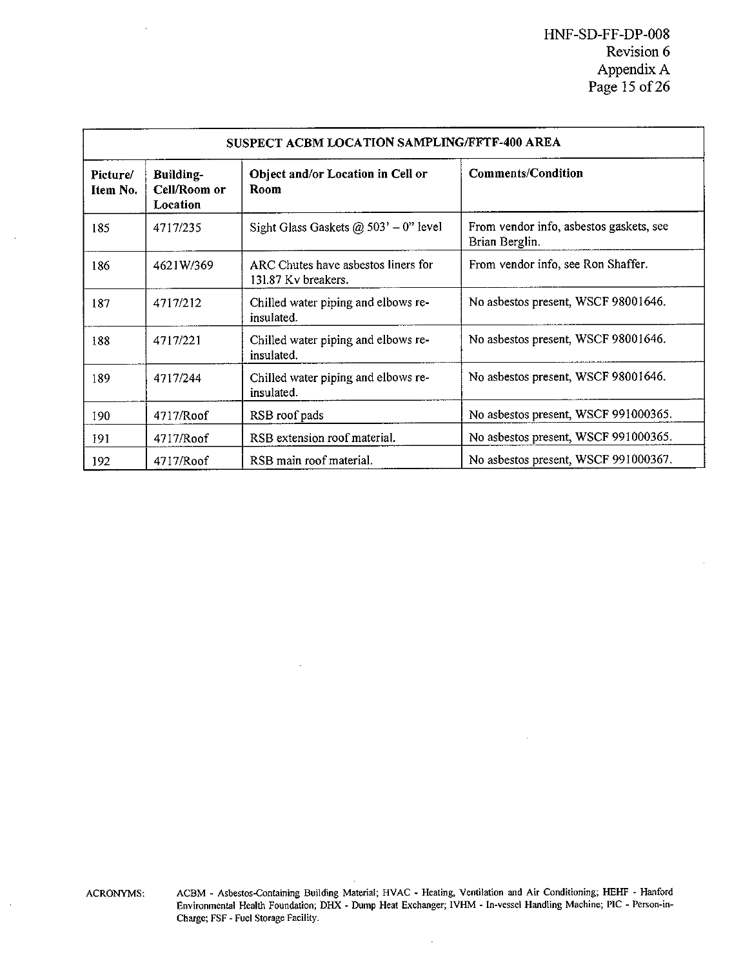|                      | SUSPECT ACBM LOCATION SAMPLING/FFTF-400 AREA |                                                            |                                                           |  |  |
|----------------------|----------------------------------------------|------------------------------------------------------------|-----------------------------------------------------------|--|--|
| Picture/<br>Item No. | Building-<br>Cell/Room or<br>Location        | Object and/or Location in Cell or<br>Room                  | <b>Comments/Condition</b>                                 |  |  |
| 185                  | 4717/235                                     | Sight Glass Gaskets @ $503' - 0$ " level                   | From vendor info, asbestos gaskets, see<br>Brian Berglin. |  |  |
| 186                  | 4621W/369                                    | ARC Chutes have asbestos liners for<br>131.87 Kv breakers. | From vendor info, see Ron Shaffer.                        |  |  |
| 187                  | 4717/212                                     | Chilled water piping and elbows re-<br>insulated.          | No asbestos present, WSCF 98001646.                       |  |  |
| 188                  | 4717/221                                     | Chilled water piping and elbows re-<br>insulated.          | No asbestos present, WSCF 98001646.                       |  |  |
| 189                  | 4717/244                                     | Chilled water piping and elbows re-<br>insulated.          | No asbestos present, WSCF 98001646.                       |  |  |
| 190                  | 4717/Roof                                    | RSB roof pads                                              | No asbestos present, WSCF 991000365.                      |  |  |
| 191                  | 4717/Roof                                    | RSB extension roof material.                               | No asbestos present, WSCF 991000365.                      |  |  |
| 192                  | 4717/Roof                                    | RSB main roof material.                                    | No asbestos present, WSCF 991000367.                      |  |  |

ï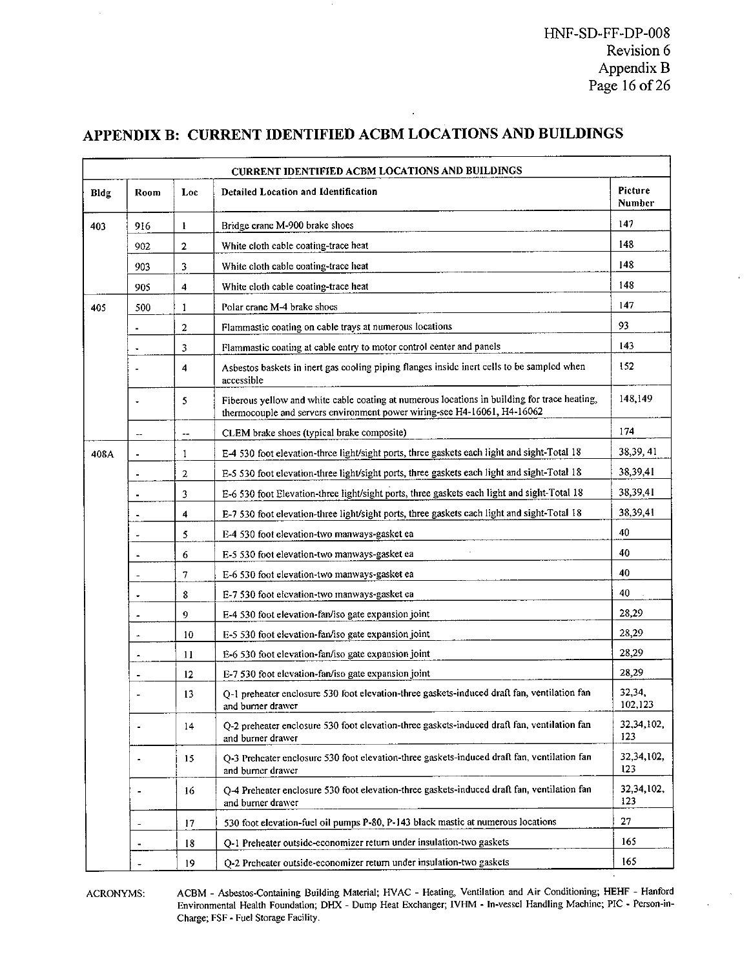HNF-SD-FF-DP-O08 Revision 6 Appendix B Page 16 of 26

| Bldg | Room           | Loc                     | Detailed Location and Identification                                                                                                                                     | Picture<br>Number |
|------|----------------|-------------------------|--------------------------------------------------------------------------------------------------------------------------------------------------------------------------|-------------------|
| 403  | 916            | ł                       | Bridge crane M-900 brake shoes                                                                                                                                           | 147               |
|      | 902            | $\mathbf 2$             | White cloth cable coating-trace heat                                                                                                                                     | 148               |
|      | 903            | 3                       | White cloth cable coating-trace heat                                                                                                                                     | 148               |
|      | 905            | 4                       | White cloth cable coating-trace heat                                                                                                                                     | 148               |
| 405  | 500            | $\mathbf{1}$            | Polar crane M-4 brake shoes                                                                                                                                              | 147               |
|      |                | $\mathbf 2$             | Flammastic coating on cable trays at numerous locations                                                                                                                  | 93                |
|      |                | 3                       | Flammastic coating at cable entry to motor control center and panels                                                                                                     | 143               |
|      |                | $\overline{\mathbf{4}}$ | Asbestos baskets in inert gas cooling piping flanges inside inert cells to be sampled when<br>accessible                                                                 | 152               |
|      | ٠              | 5                       | Fiberous yellow and white cable coating at numerous locations in building for trace heating,<br>thermocouple and servers environment power wiring-see H4-16061, H4-16062 | 148,149           |
|      | н.             | --                      | CLEM brake shoes (typical brake composite)                                                                                                                               | 174               |
| 408A | ä,             | 1                       | E-4 530 foot elevation-three light/sight ports, three gaskets each light and sight-Total 18                                                                              | 38,39,41          |
|      | ÷.             | $\overline{\mathbf{c}}$ | E-5 530 foot elevation-three light/sight ports, three gaskets each light and sight-Total 18                                                                              | 38,39,41          |
|      |                | 3                       | E-6 530 foot Elevation-three light/sight ports, three gaskets each light and sight-Total 18                                                                              | 38,39,41          |
|      | $\cdot$        | $\overline{\mathbf{4}}$ | E-7 530 foot elevation-three light/sight ports, three gaskets each light and sight-Total 18                                                                              | 38,39,41          |
|      |                | 5                       | E-4 530 foot elevation-two manways-gasket ea                                                                                                                             | 40                |
|      |                | 6                       | E-5 530 foot elevation-two manways-gasket ea                                                                                                                             | 40                |
|      |                | $\overline{7}$          | E-6 530 foot elevation-two manways-gasket ea                                                                                                                             | 40                |
|      | $\ddot{}$      | 8                       | E-7 530 foot elevation-two manways-gasket ea                                                                                                                             | 40                |
|      | ä,             | $\mathbf 9$             | E-4 530 foot elevation-fan/iso gate expansion joint                                                                                                                      | 28,29             |
|      | $\overline{a}$ | 10                      | E-5 530 foot elevation-fan/iso gate expansion joint                                                                                                                      | 28,29             |
|      | ż              | 11                      | E-6 530 foot elevation-fan/iso gate expansion joint                                                                                                                      | 28,29             |
|      | ٠              | 12                      | E-7 530 foot elevation-fan/iso gate expansion joint                                                                                                                      | 28,29             |
|      | ä,             | 13                      | O-1 preheater enclosure 530 foot elevation-three gaskets-induced draft fan, ventilation fan<br>and burner drawer                                                         | 32,34,<br>102,123 |
|      |                | 14                      | Q-2 preheater enclosure 530 foot elevation-three gaskets-induced draft fan, ventilation fan<br>and burner drawer                                                         | 32,34,102,<br>123 |
|      |                | 15                      | Q-3 Preheater enclosure 530 foot elevation-three gaskets-induced draft fan, ventilation fan<br>and burner drawer                                                         | 32,34,102,<br>123 |
|      |                | 16                      | O-4 Preheater enclosure 530 foot elevation-three gaskets-induced draft fan, ventilation fan<br>and burner drawer                                                         | 32,34,102,<br>123 |
|      | ä,             | 17                      | 530 foot elevation-fuel oil pumps P-80, P-143 black mastic at numerous locations                                                                                         | 27                |
|      |                | 18                      | O-1 Preheater outside-economizer return under insulation-two gaskets                                                                                                     | 165               |
|      |                | 19                      | O-2 Preheater outside-economizer return under insulation-two gaskets                                                                                                     | 165               |

# APPENDIX B: CURRENT IDENTIFIED ACBM LOCATIONS AND BUILDINGS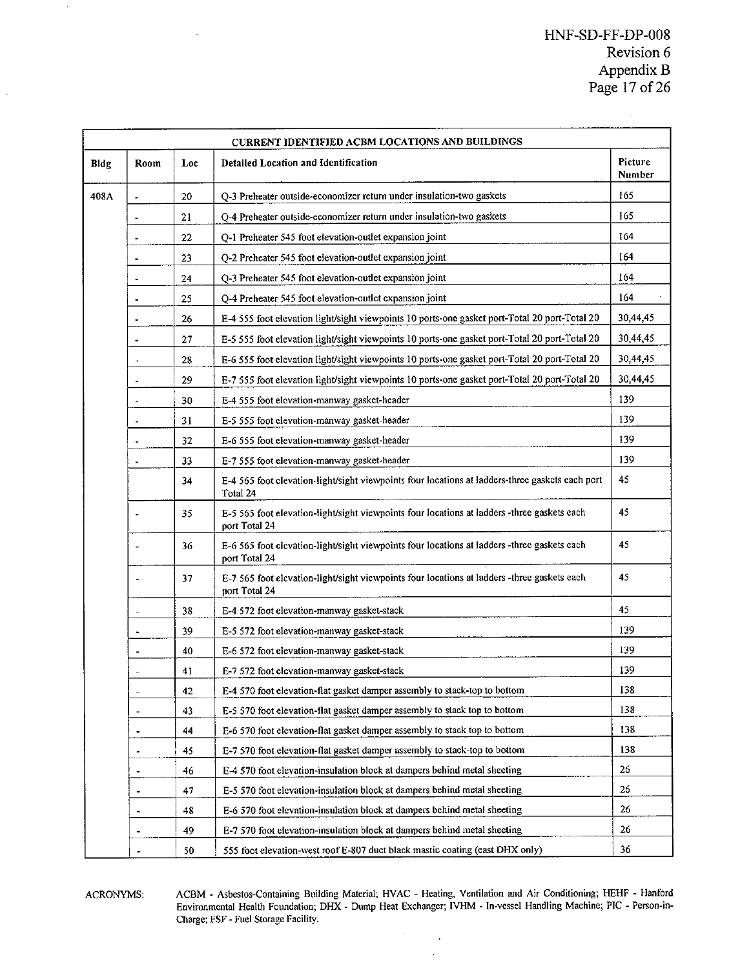### HNF-SD-FF-DP-O08 Revision 6 Appendix B Page 17 of 26

|      | CURRENT IDENTIFIED ACBM LOCATIONS AND BUILDINGS |     |                                                                                                              |                   |  |
|------|-------------------------------------------------|-----|--------------------------------------------------------------------------------------------------------------|-------------------|--|
| Bldg | Room                                            | Loc | <b>Detailed Location and Identification</b>                                                                  | Picture<br>Number |  |
| 408A | ÷,                                              | 20  | Q-3 Preheater outside-economizer return under insulation-two gaskets                                         | 165               |  |
|      | ÷.                                              | 21  | O-4 Preheater outside-economizer return under insulation-two gaskets                                         | 165               |  |
|      |                                                 | 22  | Q-1 Preheater 545 foot elevation-outlet expansion joint                                                      | 164               |  |
|      | $\blacksquare$                                  | 23  | O-2 Preheater 545 foot elevation-outlet expansion joint                                                      | 164               |  |
|      | $\overline{\phantom{a}}$                        | 24  | Q-3 Preheater 545 foot elevation-outlet expansion joint                                                      | 164               |  |
|      |                                                 | 25  | Q-4 Preheater 545 foot elevation-outlet expansion joint                                                      | 164               |  |
|      | ٠                                               | 26  | E-4 555 foot elevation light/sight viewpoints 10 ports-one gasket port-Total 20 port-Total 20                | 30,44,45          |  |
|      |                                                 | 27  | E-5 555 foot elevation light/sight viewpoints 10 ports-one gasket port-Total 20 port-Total 20                | 30,44,45          |  |
|      |                                                 | 28  | E-6 555 foot elevation light/sight viewpoints 10 ports-one gasket port-Total 20 port-Total 20                | 30,44,45          |  |
|      | ä,                                              | 29  | E-7 555 foot elevation light/sight viewpoints 10 ports-one gasket port-Total 20 port-Total 20                | 30,44,45          |  |
|      | ä,                                              | 30  | E-4 555 foot elevation-manway gasket-header                                                                  | 139               |  |
|      | ä,                                              | 31  | E-5 555 foot clevation-manway gasket-header                                                                  | 139               |  |
|      |                                                 | 32  | E-6 555 foot elevation-manway gasket-header                                                                  | 139               |  |
|      | ä,                                              | 33  | E-7 555 foot elevation-manway gasket-header                                                                  | 139               |  |
|      |                                                 | 34  | E-4 565 foot clevation-light/sight viewpoints four locations at ladders-three gaskets each port<br>Total 24  | 45                |  |
|      |                                                 | 35  | E-5 565 foot elevation-light/sight viewpoints four locations at ladders -three gaskets each<br>port Total 24 | 45                |  |
|      |                                                 | 36  | E-6 565 foot elevation-light/sight viewpoints four locations at ladders -three gaskets each<br>port Total 24 | 45                |  |
|      |                                                 | 37  | E-7 565 foot elevation-light/sight viewpoints four locations at ladders -three gaskets each<br>port Total 24 | 45                |  |
|      | ÷.                                              | 38  | E-4 572 foot elevation-manway gasket-stack                                                                   | 45                |  |
|      |                                                 | 39  | E-5 572 foot elevation-manway gasket-stack                                                                   | 139               |  |
|      |                                                 | 40  | E-6 572 foot elevation-manway gasket-stack                                                                   | 139               |  |
|      |                                                 | 41  | E-7 572 foot elevation-manway gasket-stack                                                                   | 139               |  |
|      |                                                 | 42  | E-4 570 foot elevation-flat gasket damper assembly to stack-top to bottom                                    | 138               |  |
|      | ÷.                                              | 43  | E-5 570 foot elevation-flat gasket damper assembly to stack top to bottom                                    | 138               |  |
|      |                                                 | 44  | E-6 570 foot elevation-flat gasket damper assembly to stack top to bottom                                    | 138               |  |
|      |                                                 | 45  | E-7 570 foot elevation-flat gasket damper assembly to stack-top to bottom                                    | 138               |  |
|      |                                                 | 46  | E-4 570 foot elevation-insulation block at dampers behind metal sheeting                                     | 26                |  |
|      | $\blacksquare$                                  | 47  | E-5 570 foot elevation-insulation block at dampers behind metal sheeting                                     | 26                |  |
|      | ٠                                               | 48  | E-6 570 foot elevation-insulation block at dampers behind metal sheeting                                     | 26                |  |
|      |                                                 | 49  | E-7 570 foot elevation-insulation block at dampers behind metal sheeting                                     | 26                |  |
|      |                                                 | 50  | 555 foot elevation-west roof E-807 duct black mastic coating (east DHX only)                                 | 36                |  |

ACRONYMS: ACBM - Asbestos-Containing Building Material; HVAC - Heating, Ventilation and Air Conditioning; HEHF - Hanford<br>Environmental Health Foundation; DHX - Dump Heat Exchanger; IVHM - In-vessel Handling Machine; PIC - Charge; FSF - Fuel Storage Facility.

J.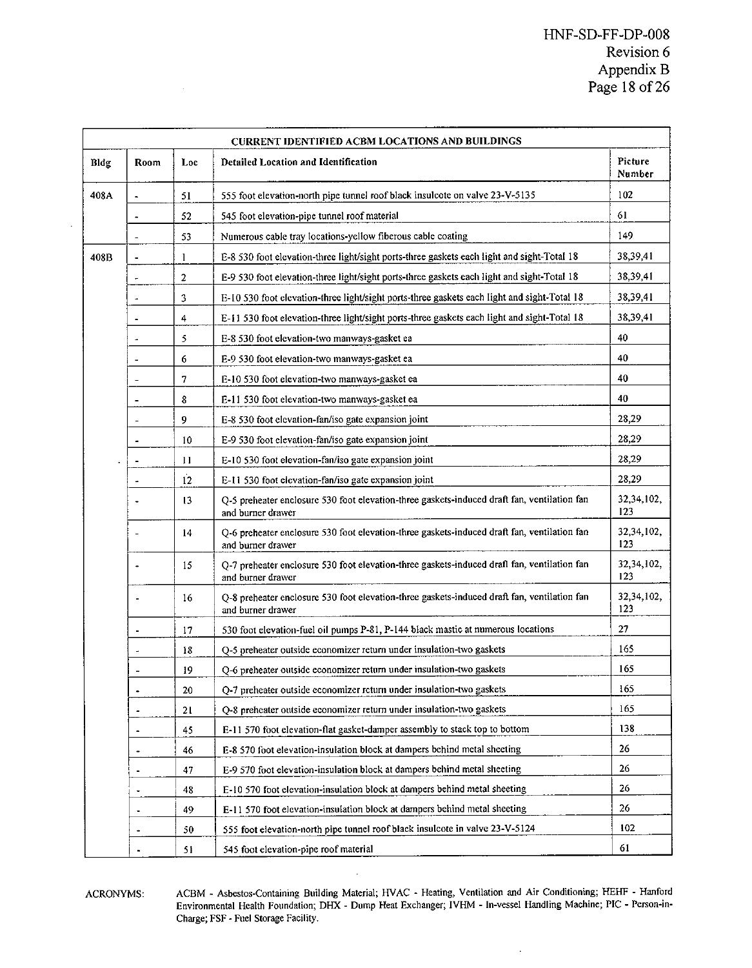| <b>CURRENT IDENTIFIED ACBM LOCATIONS AND BUILDINGS</b> |                          |                  |                                                                                                                  |                     |  |
|--------------------------------------------------------|--------------------------|------------------|------------------------------------------------------------------------------------------------------------------|---------------------|--|
| Bldg                                                   | Room                     | Loc              | <b>Detailed Location and Identification</b>                                                                      | Picture<br>Number   |  |
| 408A                                                   | $\overline{\phantom{a}}$ | 51               | 555 foot elevation-north pipe tunnel roof black insulcote on valve 23-V-5135                                     | 102                 |  |
|                                                        | ۰                        | 52               | 545 foot elevation-pipe tunnel roof material                                                                     | 61                  |  |
|                                                        |                          | 53               | Numerous cable tray locations-yellow fiberous cable coating                                                      | 149                 |  |
| 408B                                                   | ÷                        | 1                | E-8 530 foot elevation-three light/sight ports-three gaskets each light and sight-Total 18                       | 38,39,41            |  |
|                                                        | ÷                        | $\overline{c}$   | E-9 530 foot elevation-three light/sight ports-three gaskets each light and sight-Total 18                       | 38,39,41            |  |
|                                                        | ٠                        | 3                | E-10 530 foot elevation-three light/sight ports-three gaskets each light and sight-Total 18                      | 38,39,41            |  |
|                                                        | $\blacksquare$           | 4                | E-11 530 foot elevation-three light/sight ports-three gaskets each light and sight-Total 18                      | 38,39,41            |  |
|                                                        |                          | 5                | E-8 530 foot elevation-two manways-gasket ea                                                                     | 40                  |  |
|                                                        | ٠                        | 6                | E-9 530 foot elevation-two manways-gasket ea                                                                     | 40                  |  |
|                                                        |                          | $\boldsymbol{7}$ | E-10 530 foot elevation-two manways-gasket ea                                                                    | 40                  |  |
|                                                        |                          | 8                | E-11 530 foot elevation-two manways-gasket ea                                                                    | 40                  |  |
|                                                        | ٠                        | 9                | E-8 530 foot elevation-fan/iso gate expansion joint                                                              | 28,29               |  |
|                                                        | $\overline{a}$           | 10               | E-9 530 foot elevation-fan/iso gate expansion joint                                                              | 28,29               |  |
|                                                        |                          | 11               | E-10 530 foot elevation-fan/iso gate expansion joint                                                             | 28,29               |  |
|                                                        | ÷.                       | $\overline{12}$  | E-11 530 foot elevation-fan/iso gate expansion joint                                                             | 28.29               |  |
|                                                        |                          | 13               | Q-5 preheater enclosure 530 foot elevation-three gaskets-induced draft fan, ventilation fan<br>and burner drawer | 32,34,102,<br>123   |  |
|                                                        |                          | 14               | O-6 preheater enclosure 530 foot elevation-three gaskets-induced draft fan, ventilation fan<br>and burner drawer | 32,34,102,<br>123   |  |
|                                                        | ٠                        | 15               | Q-7 preheater enclosure 530 foot elevation-three gaskets-induced draft fan, ventilation fan<br>and burner drawer | 32, 34, 102,<br>123 |  |
|                                                        |                          | 16               | O-8 preheater enclosure 530 foot elevation-three gaskets-induced draft fan, ventilation fan<br>and burner drawer | 32,34,102,<br>123   |  |
|                                                        |                          | 17               | 530 foot elevation-fuel oil pumps P-81, P-144 black mastic at numerous locations                                 | 27                  |  |
|                                                        | ä.                       | 18               | Q-5 preheater outside economizer return under insulation-two gaskets                                             | 165                 |  |
|                                                        |                          | 19               | O-6 preheater outside economizer return under insulation-two gaskets                                             | 165                 |  |
|                                                        |                          | 20               | Q-7 preheater outside economizer return under insulation-two gaskets                                             | 165                 |  |
|                                                        | ٠                        | 21               | O-8 preheater outside economizer return under insulation-two gaskets                                             | 165                 |  |
|                                                        | $\overline{\phantom{a}}$ | 45               | E-11 570 foot elevation-flat gasket-damper assembly to stack top to bottom                                       | 138                 |  |
|                                                        | $\blacksquare$           | 46               | E-8 570 foot elevation-insulation block at dampers behind metal sheeting                                         | 26                  |  |
|                                                        | ł,                       | 47               | E-9 570 foot elevation-insulation block at dampers behind metal sheeting                                         | 26                  |  |
|                                                        |                          | 48               | E-10 570 foot elevation-insulation block at dampers behind metal sheeting                                        | 26                  |  |
|                                                        | ÷.                       | 49               | E-11 570 foot elevation-insulation block at dampers behind metal sheeting                                        | 26                  |  |
|                                                        |                          | 50               | 555 foot elevation-north pipe tunnel roof black insulcote in valve 23-V-5124                                     | 102                 |  |
|                                                        |                          | 51               | 545 foot elevation-pipe roof material                                                                            | 61                  |  |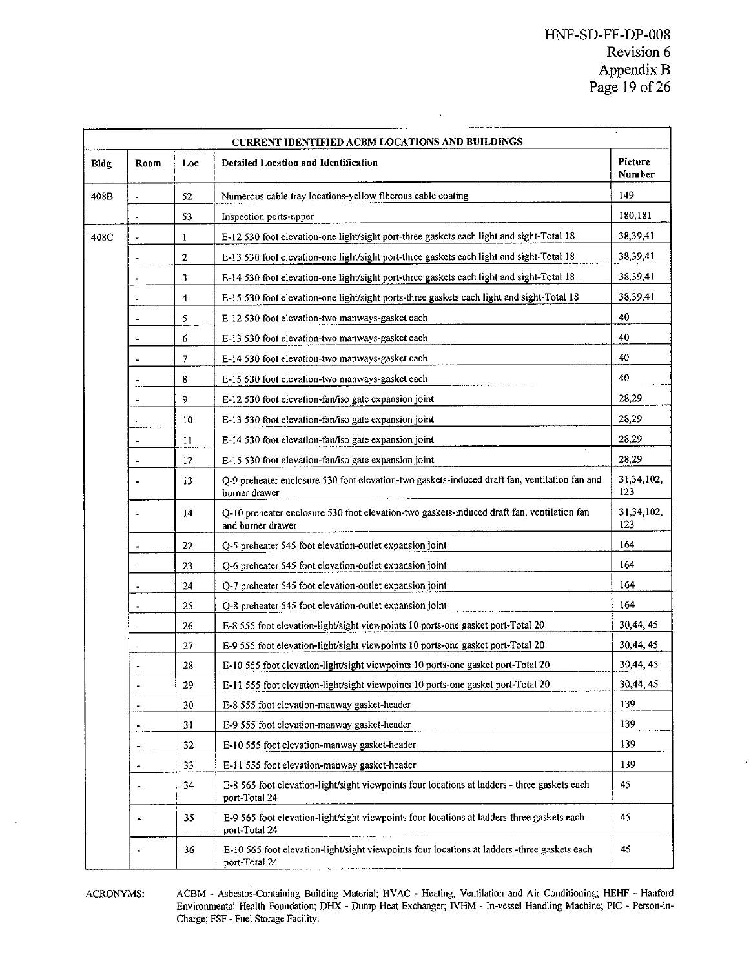|                 | CURRENT IDENTIFIED ACBM LOCATIONS AND BUILDINGS                                                                                            |                                                                                                   |                                                                                                                 |                   |  |  |
|-----------------|--------------------------------------------------------------------------------------------------------------------------------------------|---------------------------------------------------------------------------------------------------|-----------------------------------------------------------------------------------------------------------------|-------------------|--|--|
| Bldg            | Room                                                                                                                                       | Loc                                                                                               | <b>Detailed Location and Identification</b>                                                                     |                   |  |  |
| 408B            |                                                                                                                                            | 52<br>Numerous cable tray locations-yellow fiberous cable coating<br>53<br>Inspection ports-upper |                                                                                                                 | 149               |  |  |
|                 |                                                                                                                                            |                                                                                                   |                                                                                                                 | 180,181           |  |  |
| 408C            | $\overline{a}$                                                                                                                             | $\mathbf{1}$                                                                                      | E-12 530 foot elevation-one light/sight port-three gaskets each light and sight-Total 18                        | 38,39,41          |  |  |
|                 | $\ddot{\phantom{a}}$                                                                                                                       | $\overline{\mathbf{c}}$                                                                           | E-13 530 foot elevation-one light/sight port-three gaskets each light and sight-Total 18                        | 38,39,41          |  |  |
|                 |                                                                                                                                            | 3                                                                                                 | E-14 530 foot elevation-one light/sight port-three gaskets each light and sight-Total 18                        | 38,39,41          |  |  |
|                 |                                                                                                                                            | 4                                                                                                 | E-15 530 foot elevation-one light/sight ports-three gaskets each light and sight-Total 18                       | 38,39,41          |  |  |
|                 | J.                                                                                                                                         | 5                                                                                                 | E-12 530 foot elevation-two manways-gasket each                                                                 | 40                |  |  |
|                 | ц.                                                                                                                                         | 6                                                                                                 | E-13 530 foot elevation-two manways-gasket each                                                                 | 40                |  |  |
|                 |                                                                                                                                            | 7                                                                                                 | E-14 530 foot elevation-two manways-gasket each                                                                 | 40                |  |  |
|                 |                                                                                                                                            | 8                                                                                                 | E-15 530 foot elevation-two manways-gasket each                                                                 | 40                |  |  |
|                 | ٠                                                                                                                                          | 9                                                                                                 | E-12 530 foot elevation-fan/iso gate expansion joint                                                            | 28,29             |  |  |
|                 | ÷                                                                                                                                          | 10                                                                                                | E-13 530 foot elevation-fan/iso gate expansion joint                                                            | 28,29             |  |  |
|                 | ÷                                                                                                                                          | 11                                                                                                | E-14 530 foot elevation-fan/iso gate expansion joint                                                            | 28,29             |  |  |
|                 | 12<br>E-15 530 foot elevation-fan/iso gate expansion joint                                                                                 |                                                                                                   | 28,29                                                                                                           |                   |  |  |
|                 | Q-9 preheater enclosure 530 foot elevation-two gaskets-induced draft fan, ventilation fan and<br>13<br>burner drawer                       |                                                                                                   | 31,34,102,<br>123                                                                                               |                   |  |  |
|                 |                                                                                                                                            | 14                                                                                                | Q-10 preheater enclosure 530 foot elevation-two gaskets-induced draft fan, ventilation fan<br>and burner drawer | 31.34,102,<br>123 |  |  |
|                 | 22<br>O-5 preheater 545 foot elevation-outlet expansion joint                                                                              |                                                                                                   | 164                                                                                                             |                   |  |  |
|                 | 23<br>Q-6 preheater 545 foot elevation-outlet expansion joint<br>۰                                                                         |                                                                                                   | 164                                                                                                             |                   |  |  |
|                 | 24<br>O-7 preheater 545 foot elevation-outlet expansion joint                                                                              |                                                                                                   |                                                                                                                 | 164               |  |  |
|                 | 25<br>Q-8 preheater 545 foot elevation-outlet expansion joint                                                                              |                                                                                                   |                                                                                                                 | 164               |  |  |
|                 | ÷,                                                                                                                                         | 26                                                                                                | E-8 555 foot elevation-light/sight viewpoints 10 ports-one gasket port-Total 20                                 | 30,44,45          |  |  |
|                 | ä,                                                                                                                                         | 27                                                                                                | E-9 555 foot elevation-light/sight viewpoints 10 ports-one gasket port-Total 20                                 | 30,44,45          |  |  |
|                 | 28<br>E-10 555 foot elevation-light/sight viewpoints 10 ports-one gasket port-Total 20<br>$\cdot$                                          |                                                                                                   |                                                                                                                 | 30,44,45          |  |  |
|                 | 29<br>E-11 555 foot elevation-light/sight viewpoints 10 ports-one gasket port-Total 20<br>$\overline{\phantom{a}}$                         |                                                                                                   | 30,44,45                                                                                                        |                   |  |  |
|                 | 30<br>E-8 555 foot elevation-manway gasket-header<br>$\blacksquare$                                                                        |                                                                                                   |                                                                                                                 | 139               |  |  |
|                 | 31<br>E-9 555 foot elevation-manway gasket-header<br>$\blacksquare$<br>32<br>E-10 555 foot elevation-manway gasket-header<br>$\frac{1}{2}$ |                                                                                                   |                                                                                                                 | 139               |  |  |
|                 |                                                                                                                                            |                                                                                                   |                                                                                                                 | 139               |  |  |
| 33<br>$\bullet$ |                                                                                                                                            |                                                                                                   | E-11 555 foot elevation-manway gasket-header                                                                    | 139               |  |  |
|                 | 34<br>port-Total 24                                                                                                                        |                                                                                                   | E-8 565 foot elevation-light/sight viewpoints four locations at ladders - three gaskets each                    | 45                |  |  |
|                 | 35<br>port-Total 24                                                                                                                        |                                                                                                   | E-9 565 foot elevation-light/sight viewpoints four locations at ladders-three gaskets each                      | 45                |  |  |
|                 |                                                                                                                                            | 36                                                                                                | E-10 565 foot elevation-light/sight viewpoints four locations at ladders -three gaskets each<br>port-Total 24   | 45                |  |  |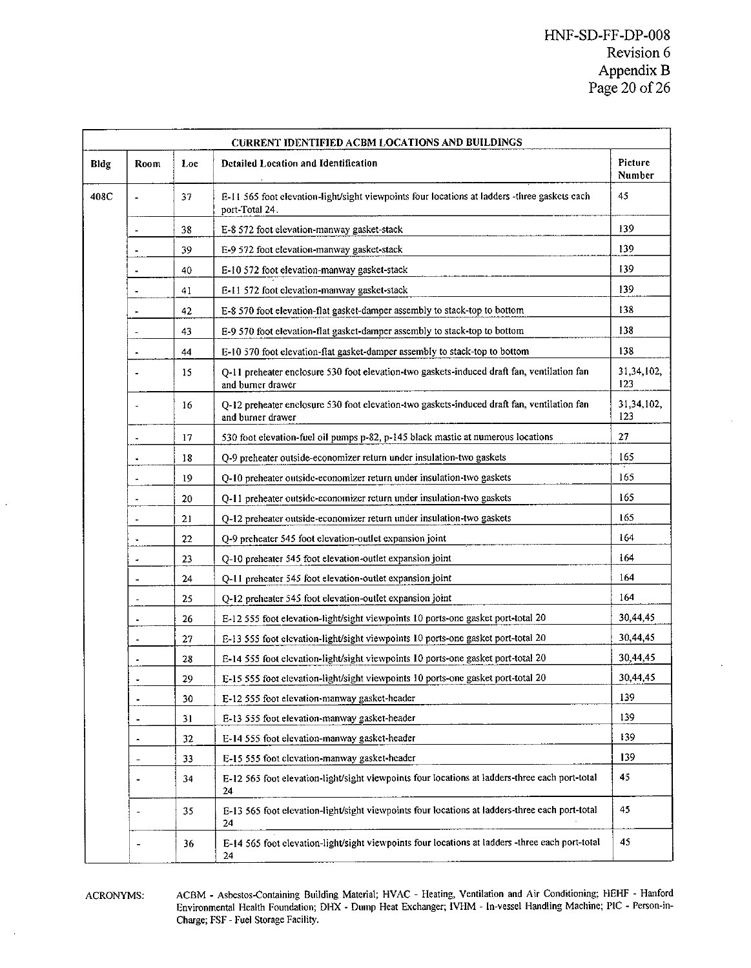|      | <b>CURRENT IDENTIFIED ACBM LOCATIONS AND BUILDINGS</b> |     |                                                                                                                 |                   |  |  |
|------|--------------------------------------------------------|-----|-----------------------------------------------------------------------------------------------------------------|-------------------|--|--|
| Bldg | Room                                                   | Loc | <b>Detailed Location and Identification</b>                                                                     |                   |  |  |
| 408C |                                                        | 37  | E-11 565 foot elevation-light/sight viewpoints four locations at ladders -three gaskets each<br>port-Total 24.  |                   |  |  |
|      | 38<br>E-8 572 foot elevation-manway gasket-stack       |     |                                                                                                                 | 139               |  |  |
|      |                                                        | 39  | E-9 572 foot elevation-manway gasket-stack                                                                      | 139               |  |  |
|      | ٠                                                      | 40  | E-10 572 foot elevation-manway gasket-stack                                                                     | 139               |  |  |
|      | ä,                                                     | 41  | E-11 572 foot elevation-manway gasket-stack                                                                     | 139               |  |  |
|      | í,                                                     | 42  | E-8 570 foot elevation-flat gasket-damper assembly to stack-top to bottom                                       | 138               |  |  |
|      |                                                        | 43  | E-9 570 foot elevation-flat gasket-damper assembly to stack-top to bottom                                       | 138               |  |  |
|      |                                                        | 44  | E-10 570 foot elevation-flat gasket-damper assembly to stack-top to bottom                                      | 138               |  |  |
|      |                                                        | 15  | O-11 preheater enclosure 530 foot elevation-two gaskets-induced draft fan, ventilation fan<br>and burner drawer | 31,34,102,<br>123 |  |  |
|      |                                                        | 16  | Q-12 preheater enclosure 530 foot elevation-two gaskets-induced draft fan, ventilation fan<br>and burner drawer | 31,34,102,<br>123 |  |  |
|      | ÷,                                                     | 17  | 530 foot elevation-fuel oil pumps p-82, p-145 black mastic at numerous locations                                | 27                |  |  |
|      |                                                        | 18  | Q-9 preheater outside-economizer return under insulation-two gaskets                                            | 165               |  |  |
|      | J.                                                     | 19  | Q-10 preheater outside-economizer return under insulation-two gaskets                                           | 165               |  |  |
|      | ż,                                                     | 20  | Q-11 preheater outside-economizer return under insulation-two gaskets                                           | 165               |  |  |
|      |                                                        | 21  | Q-12 preheater outside-economizer return under insulation-two gaskets                                           | 165               |  |  |
|      |                                                        | 22  | O-9 preheater 545 foot elevation-outlet expansion joint                                                         | 164               |  |  |
|      | ÷.                                                     | 23  | Q-10 preheater 545 foot elevation-outlet expansion joint                                                        | 164               |  |  |
|      | $\blacksquare$                                         | 24  | Q-11 preheater 545 foot elevation-outlet expansion joint                                                        | 164               |  |  |
|      | $\overline{\phantom{a}}$                               | 25  | Q-12 preheater 545 foot elevation-outlet expansion joint                                                        | 164               |  |  |
|      | $\blacksquare$                                         | 26  | E-12 555 foot elevation-light/sight viewpoints 10 ports-one gasket port-total 20                                | 30,44,45          |  |  |
|      | $\overline{\phantom{a}}$                               | 27  | E-13 555 foot elevation-light/sight viewpoints 10 ports-one gasket port-total 20                                | 30,44,45          |  |  |
|      | $\ddot{\phantom{0}}$                                   | 28  | E-14 555 foot elevation-light/sight viewpoints 10 ports-one gasket port-total 20                                | 30,44,45          |  |  |
|      |                                                        | 29  | E-15 555 foot elevation-light/sight viewpoints 10 ports-one gasket port-total 20                                | 30,44,45          |  |  |
|      |                                                        | 30  | E-12 555 foot elevation-manway gasket-header                                                                    | 139               |  |  |
|      | ٠                                                      | 31  | E-13 555 foot elevation-manway gasket-header                                                                    | 139               |  |  |
|      | ÷.                                                     | 32  | E-14 555 foot elevation-manway gasket-header                                                                    | 139               |  |  |
|      |                                                        | 33  | E-15 555 foot elevation-manway gasket-header                                                                    | 139               |  |  |
|      |                                                        | 34  | E-12 565 foot elevation-light/sight viewpoints four locations at ladders-three each port-total<br>24            | 45                |  |  |
|      |                                                        | 35  | E-13 565 foot elevation-light/sight viewpoints four locations at ladders-three each port-total<br>24            | 45                |  |  |
|      |                                                        | 36  | E-14 565 foot elevation-light/sight viewpoints four locations at ladders -three each port-total<br>24           | 45                |  |  |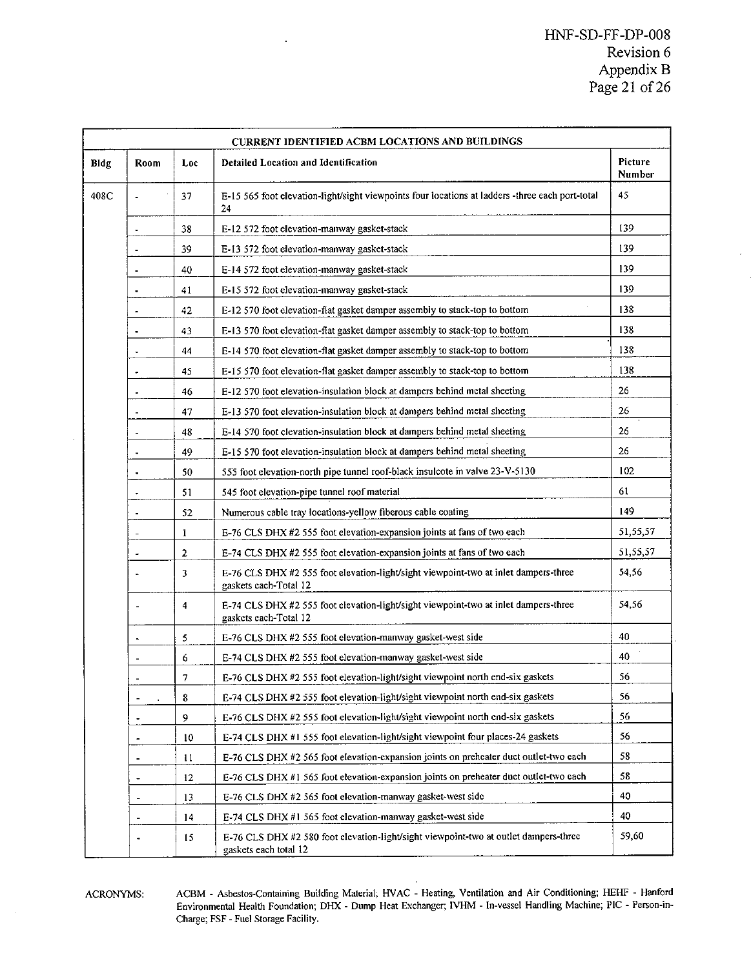### HNF-SD-FF-DP-O08 Revision 6 Appendix B Page 21 of 26

|      | CURRENT IDENTIFIED ACBM LOCATIONS AND BUILDINGS                                                                                                                        |                         |                                                                                                               |          |  |  |
|------|------------------------------------------------------------------------------------------------------------------------------------------------------------------------|-------------------------|---------------------------------------------------------------------------------------------------------------|----------|--|--|
| Bldg | Room                                                                                                                                                                   | Loc                     | Detailed Location and Identification                                                                          |          |  |  |
| 408C |                                                                                                                                                                        | 37                      | E-15 565 foot elevation-light/sight viewpoints four locations at ladders -three each port-total<br>24         |          |  |  |
|      | 38<br>E-12 572 foot elevation-manway gasket-stack<br>$\ddot{\phantom{0}}$                                                                                              |                         | 139                                                                                                           |          |  |  |
|      | 39<br>E-13 572 foot elevation-manway gasket-stack<br>÷,<br>40<br>E-14 572 foot elevation-manway gasket-stack<br>÷<br>41<br>E-15 572 foot elevation-manway gasket-stack |                         |                                                                                                               |          |  |  |
|      |                                                                                                                                                                        |                         |                                                                                                               |          |  |  |
|      |                                                                                                                                                                        |                         |                                                                                                               |          |  |  |
|      |                                                                                                                                                                        | 42                      | E-12 570 foot elevation-flat gasket damper assembly to stack-top to bottom                                    | 138      |  |  |
|      |                                                                                                                                                                        | 43                      | E-13 570 foot elevation-flat gasket damper assembly to stack-top to bottom                                    | 138      |  |  |
|      | ٠                                                                                                                                                                      | 44                      | E-14 570 foot elevation-flat gasket damper assembly to stack-top to bottom                                    | 138      |  |  |
|      | ٠                                                                                                                                                                      | 45                      | E-15 570 foot elevation-flat gasket damper assembly to stack-top to bottom                                    | 138      |  |  |
|      | ٠                                                                                                                                                                      | 46                      | E-12 570 foot elevation-insulation block at dampers behind metal sheeting                                     | 26       |  |  |
|      | í.                                                                                                                                                                     | 47                      | E-13 570 foot elevation-insulation block at dampers behind metal sheeting                                     | 26       |  |  |
|      | ł.                                                                                                                                                                     | 48                      | E-14 570 foot clevation-insulation block at dampers behind metal sheeting                                     | 26       |  |  |
|      | J.                                                                                                                                                                     | 49                      | E-15 570 foot elevation-insulation block at dampers behind metal sheeting                                     | 26       |  |  |
|      | ÷,                                                                                                                                                                     | 50                      | 555 foot elevation-north pipe tunnel roof-black insulcote in valve 23-V-5130                                  | 102      |  |  |
|      | ×.                                                                                                                                                                     | 51                      | 545 foot elevation-pipe tunnel roof material                                                                  | 61       |  |  |
|      | i.                                                                                                                                                                     | 52                      | Numerous cable tray locations-yellow fiberous cable coating                                                   | 149      |  |  |
|      |                                                                                                                                                                        | 1                       | E-76 CLS DHX #2 555 foot elevation-expansion joints at fans of two each                                       | 51,55,57 |  |  |
|      | $\ddot{\phantom{1}}$                                                                                                                                                   | $\overline{\mathbf{c}}$ | E-74 CLS DHX #2 555 foot elevation-expansion joints at fans of two each                                       | 51,55,57 |  |  |
|      | ÷.                                                                                                                                                                     | 3                       | E-76 CLS DHX #2 555 foot elevation-light/sight viewpoint-two at inlet dampers-three<br>gaskets each-Total 12  | 54,56    |  |  |
|      | L.                                                                                                                                                                     | $\overline{\bf{4}}$     | E-74 CLS DHX #2 555 foot elevation-light/sight viewpoint-two at inlet dampers-three<br>gaskets each-Total 12  | 54,56    |  |  |
|      | $\blacksquare$                                                                                                                                                         | 5                       | E-76 CLS DHX #2 555 foot elevation-manway gasket-west side                                                    | 40       |  |  |
|      | ä,                                                                                                                                                                     | 6                       | E-74 CLS DHX #2 555 foot elevation-manway gasket-west side                                                    | 40       |  |  |
|      |                                                                                                                                                                        | 7                       | E-76 CLS DHX #2 555 foot elevation-light/sight viewpoint north end-six gaskets                                | 56       |  |  |
|      |                                                                                                                                                                        | 8                       | E-74 CLS DHX #2 555 foot elevation-light/sight viewpoint north end-six gaskets                                | 56       |  |  |
|      | ä,                                                                                                                                                                     | 9                       | E-76 CLS DHX #2 555 foot elevation-light/sight viewpoint north end-six gaskets                                | 56       |  |  |
|      | ٠                                                                                                                                                                      | 10                      | E-74 CLS DHX #1 555 foot elevation-light/sight viewpoint four places-24 gaskets                               | 56       |  |  |
|      | ÷                                                                                                                                                                      | $\mathbf{1}$            | E-76 CLS DHX #2 565 foot elevation-expansion joints on preheater duct outlet-two each                         | 58       |  |  |
|      | ÷                                                                                                                                                                      | 12                      | E-76 CLS DHX #1 565 foot elevation-expansion joints on preheater duct outlet-two each                         | 58       |  |  |
|      | ×                                                                                                                                                                      | 13                      | E-76 CLS DHX #2 565 foot elevation-manway gasket-west side                                                    | 40       |  |  |
|      | J.                                                                                                                                                                     | 14                      | E-74 CLS DHX #1 565 foot elevation-manway gasket-west side                                                    | 40       |  |  |
|      |                                                                                                                                                                        | 15                      | E-76 CLS DHX #2 580 foot elevation-light/sight viewpoint-two at outlet dampers-three<br>gaskets each total 12 | 59,60    |  |  |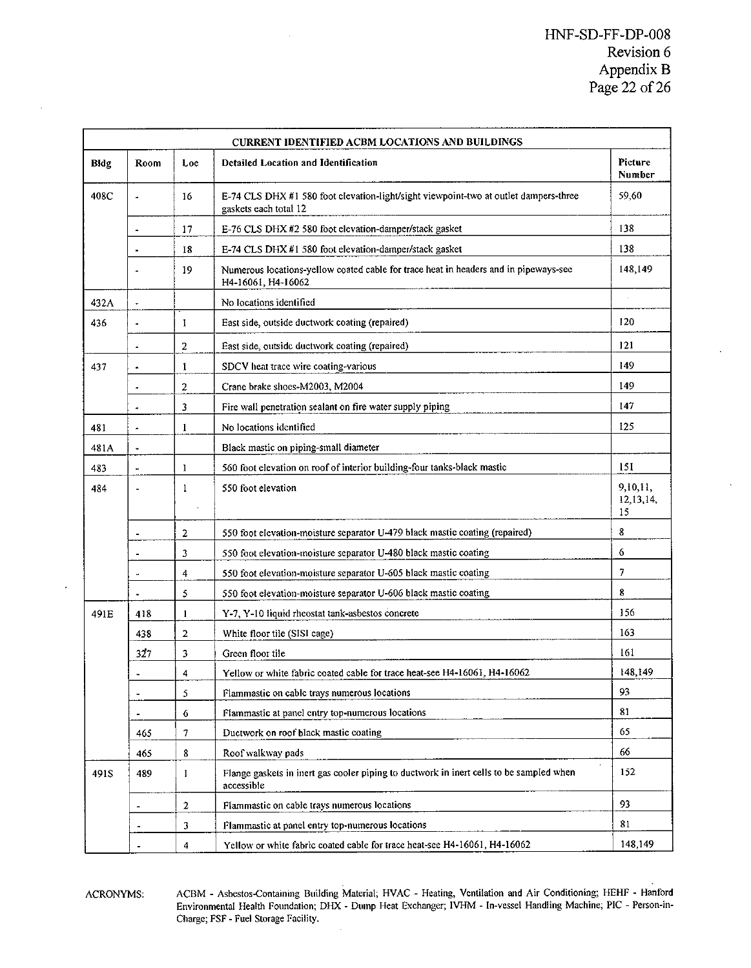|      |                              |                                                                                                                     | <b>CURRENT IDENTIFIED ACBM LOCATIONS AND BUILDINGS</b>                                                     | Picture                     |  |  |  |
|------|------------------------------|---------------------------------------------------------------------------------------------------------------------|------------------------------------------------------------------------------------------------------------|-----------------------------|--|--|--|
| Bldg | Room                         | Loe                                                                                                                 | <b>Detailed Location and Identification</b>                                                                |                             |  |  |  |
| 408C | à.                           | 16<br>E-74 CLS DHX #1 580 foot clevation-light/sight viewpoint-two at outlet dampers-three<br>gaskets each total 12 |                                                                                                            | 59.60                       |  |  |  |
|      | $\blacksquare$               | 17                                                                                                                  | E-76 CLS DHX #2 580 foot elevation-damper/stack gasket                                                     | 138                         |  |  |  |
|      | $\blacksquare$               | 18                                                                                                                  | E-74 CLS DHX #1 580 foot elevation-damper/stack gasket                                                     | 138                         |  |  |  |
|      |                              | 19                                                                                                                  | Numerous locations-yellow coated cable for trace heat in headers and in pipeways-see<br>H4-16061, H4-16062 | 148,149                     |  |  |  |
| 432A | ٠                            |                                                                                                                     | No locations identified                                                                                    |                             |  |  |  |
| 436  | ÷,                           | $\mathbf{I}$                                                                                                        | East side, outside ductwork coating (repaired)                                                             |                             |  |  |  |
|      | $\overline{a}$               | $\overline{2}$                                                                                                      | East side, outside ductwork coating (repaired)                                                             | 121                         |  |  |  |
| 437  | $\ddot{\phantom{a}}$         | 1                                                                                                                   | SDCV heat trace wire coating-various                                                                       | 149                         |  |  |  |
|      | ٠                            | $\overline{2}$                                                                                                      | Crane brake shocs-M2003, M2004                                                                             | 149                         |  |  |  |
|      |                              | 3                                                                                                                   | Fire wall penetration sealant on fire water supply piping                                                  | 147                         |  |  |  |
| 481  | $\overline{\phantom{a}}$     | 1                                                                                                                   | No locations identified                                                                                    | 125                         |  |  |  |
| 481A | ×                            |                                                                                                                     | Black mastic on piping-small diameter                                                                      |                             |  |  |  |
| 483  |                              | $\mathbf{I}$                                                                                                        | 560 foot elevation on roof of interior building-four tanks-black mastic                                    |                             |  |  |  |
| 484  | J.                           | $\mathbf{1}$                                                                                                        | 550 foot elevation                                                                                         | 9,10,11,<br>12,13,14,<br>15 |  |  |  |
|      |                              | $\overline{2}$                                                                                                      | 550 foot elevation-moisture separator U-479 black mastic coating (repaired)                                | 8                           |  |  |  |
|      | $\blacksquare$               | 3                                                                                                                   | 550 foot elevation-moisture separator U-480 black mastic coating                                           | 6                           |  |  |  |
|      | à.                           | $\overline{\bf{4}}$                                                                                                 | 550 foot elevation-moisture separator U-605 black mastic coating                                           | $\overline{7}$              |  |  |  |
|      |                              | 5                                                                                                                   | 550 foot elevation-moisture separator U-606 black mastic coating                                           | 8                           |  |  |  |
| 491E | 418                          | 1                                                                                                                   | Y-7, Y-10 liquid rheostat tank-asbestos concrete                                                           | 156                         |  |  |  |
|      | 438                          | $\overline{c}$                                                                                                      | White floor tile (SISI cage)                                                                               | 163                         |  |  |  |
|      | 327                          | 3                                                                                                                   | Green floor tile                                                                                           | 161                         |  |  |  |
|      |                              | $\overline{4}$                                                                                                      | Yellow or white fabric coated cable for trace heat-see H4-16061, H4-16062                                  | 148,149                     |  |  |  |
|      | $\overline{\phantom{a}}$     | 5                                                                                                                   | Flammastic on cable trays numerous locations                                                               | 93                          |  |  |  |
|      | $\qquad \qquad \blacksquare$ | 6                                                                                                                   | Flammastic at panel entry top-numerous locations                                                           | 81                          |  |  |  |
|      | 465                          | 7                                                                                                                   | Ductwork on roof black mastic coating                                                                      | 65                          |  |  |  |
|      | 465                          | 8                                                                                                                   | Roof walkway pads                                                                                          | 66                          |  |  |  |
| 491S | 489                          | 1                                                                                                                   | Flange gaskets in inert gas cooler piping to ductwork in inert cells to be sampled when<br>accessible      |                             |  |  |  |
|      |                              | $\mathbf 2$                                                                                                         | Flammastic on cable trays numerous locations                                                               | 93                          |  |  |  |
|      |                              | 3                                                                                                                   | Flammastic at panel entry top-numerous locations                                                           | 81                          |  |  |  |
|      |                              | $\overline{\mathbf{a}}$                                                                                             | Yellow or white fabric coated cable for trace heat-see H4-16061, H4-16062                                  | 148,149                     |  |  |  |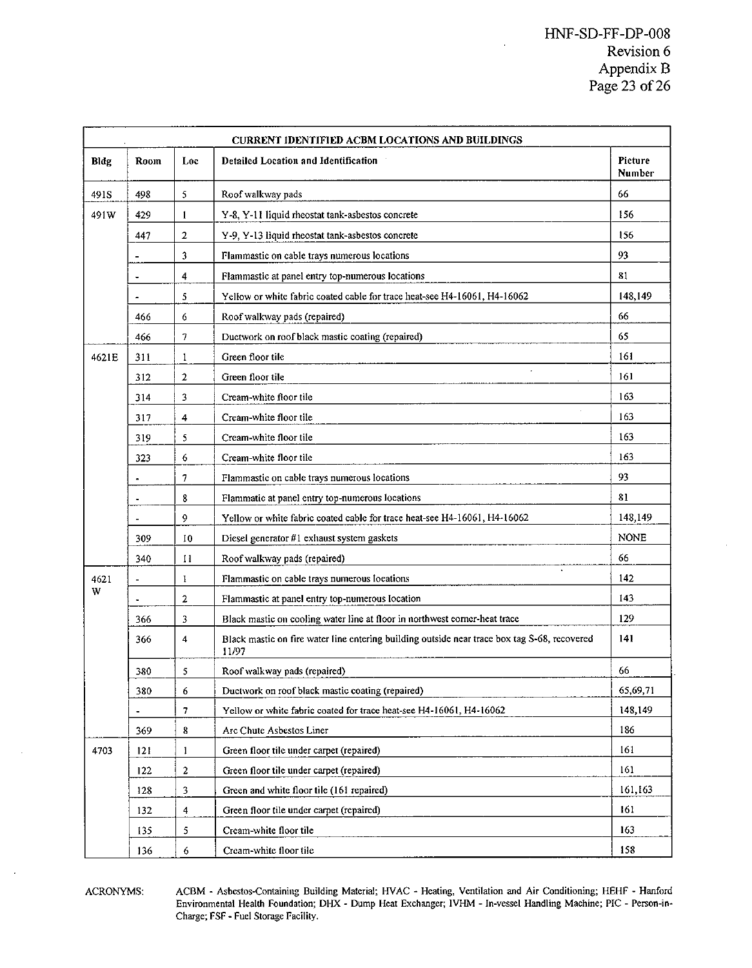| <b>CURRENT IDENTIFIED ACBM LOCATIONS AND BUILDINGS</b> |                          |                         |                                                                                                       |             |  |  |
|--------------------------------------------------------|--------------------------|-------------------------|-------------------------------------------------------------------------------------------------------|-------------|--|--|
| Bldg                                                   | Room                     | Loc                     | Detailed Location and Identification                                                                  |             |  |  |
| 491S                                                   | 498                      | 5                       | Roof walkway pads                                                                                     | 66          |  |  |
| 491W                                                   | 429                      | $\mathbf{I}$            | Y-8, Y-11 liquid rheostat tank-asbestos concrete                                                      | 156         |  |  |
|                                                        | 447                      | $\overline{a}$          | Y-9, Y-13 liquid rheostat tank-asbestos concrete                                                      | 156         |  |  |
|                                                        |                          | 3                       | Flammastic on cable trays numerous locations                                                          | 93          |  |  |
|                                                        | ٠                        | 4                       | Flammastic at panel entry top-numerous locations                                                      | 81          |  |  |
|                                                        | $\tilde{\phantom{a}}$    | 5                       | Yellow or white fabric coated cable for trace heat-see H4-16061, H4-16062                             | 148,149     |  |  |
|                                                        | 466                      | 6                       | Roof walkway pads (repaired)                                                                          | 66          |  |  |
|                                                        | 466                      | 7                       | Ductwork on roof black mastic coating (repaired)                                                      | 65          |  |  |
| 4621E                                                  | 311                      | $\,1$                   | Green floor tile                                                                                      | 161         |  |  |
|                                                        | 312                      | $\mathbf{2}$            | Green floor tile                                                                                      | 161         |  |  |
|                                                        | 314                      | 3                       | Cream-white floor tile                                                                                | 163         |  |  |
|                                                        | 317                      | 4                       | Cream-white floor tile                                                                                | 163         |  |  |
|                                                        | 319                      | 5                       | Cream-white floor tile                                                                                | 163         |  |  |
|                                                        | 323                      | 6                       | Cream-white floor tile                                                                                | 163         |  |  |
|                                                        |                          | 7                       | Flammastic on cable trays numerous locations                                                          | 93          |  |  |
|                                                        | $\overline{\phantom{a}}$ | 8                       | Flammatic at panel entry top-numerous locations                                                       | 81          |  |  |
|                                                        | $\blacksquare$           | 9                       | Yellow or white fabric coated cable for trace heat-see H4-16061, H4-16062                             | 148,149     |  |  |
|                                                        | 309                      | 10                      | Diesel generator #1 exhaust system gaskets                                                            | <b>NONE</b> |  |  |
|                                                        | 340                      | $^{11}$                 | Roof walkway pads (repaired)                                                                          | 66          |  |  |
| 4621                                                   |                          | 1                       | Flammastic on cable trays numerous locations                                                          | 142         |  |  |
| W                                                      |                          | 2                       | Flammastic at panel entry top-numerous location                                                       | 143         |  |  |
|                                                        | 366                      | 3                       | Black mastic on cooling water line at floor in northwest corner-heat trace                            | 129         |  |  |
|                                                        | 366                      | 4                       | Black mastic on fire water line entering building outside near trace box tag S-68, recovered<br>11/97 | 141         |  |  |
|                                                        | 380                      | 5                       | Roof walkway pads (repaired)                                                                          | 66          |  |  |
|                                                        | 380                      | 6                       | Ductwork on roof black mastic coating (repaired)                                                      | 65,69,71    |  |  |
|                                                        |                          | $\overline{7}$          | Yellow or white fabric coated for trace heat-see H4-16061, H4-16062                                   | 148,149     |  |  |
|                                                        | 369                      | 8                       | Arc Chute Asbestos Liner                                                                              | 186         |  |  |
| 4703                                                   | 121                      | $\mathbf{1}$            | Green floor tile under carpet (repaired)                                                              | 161         |  |  |
|                                                        | 122                      | $\mathbf{2}$            | Green floor tile under carpet (repaired)                                                              | 161         |  |  |
|                                                        | 128                      | 3                       | Green and white floor tile (161 repaired)                                                             | 161,163     |  |  |
|                                                        | 132                      | $\overline{\mathbf{4}}$ | Green floor tile under carpet (repaired)                                                              | 161         |  |  |
|                                                        | 135                      | 5                       | Cream-white floor tile                                                                                |             |  |  |
|                                                        | 136                      | 6                       | Cream-white floor tile                                                                                | 158         |  |  |

ACRONYMS: ACBM - Asbestos-Containing Building Material; HVAC - Heating, Ventilation and Air Conditioning; HEHF - Hanford<br>Environmental Health Foundation; DHX - Dump Heat Exchanger; IVHM - In-vessel Handling Machine; PIC - Charge; FSF - Fuel Storage Facility.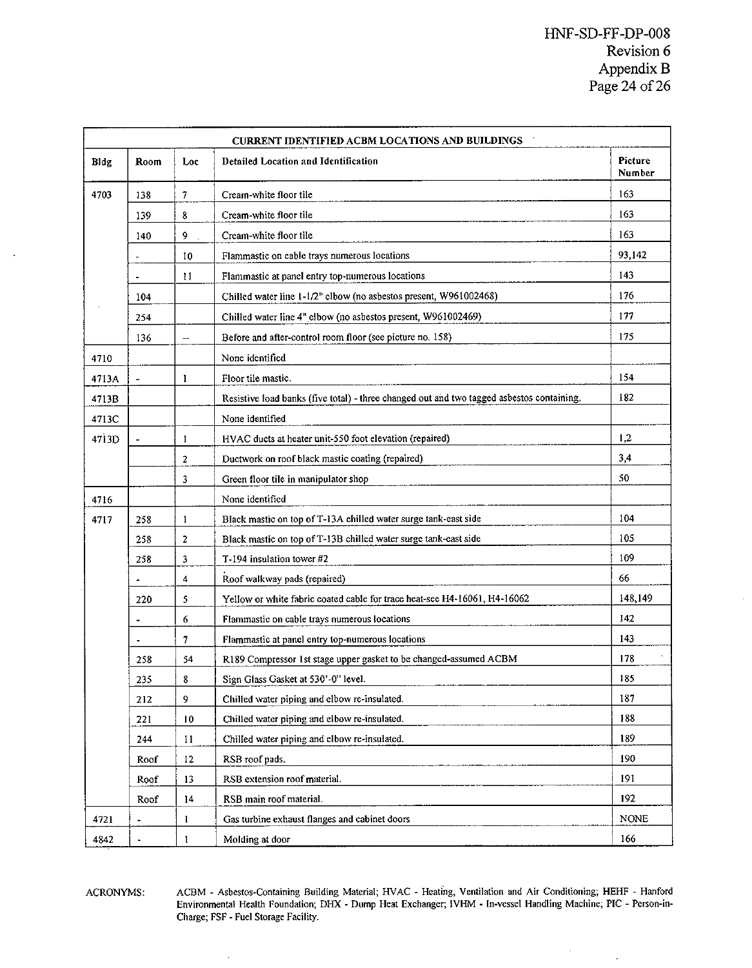$\bar{z}$ 

| <b>CURRENT IDENTIFIED ACBM LOCATIONS AND BUILDINGS</b> |                                                                          |                         |                                                                                           |             |  |  |  |
|--------------------------------------------------------|--------------------------------------------------------------------------|-------------------------|-------------------------------------------------------------------------------------------|-------------|--|--|--|
| Bldg                                                   | Room                                                                     | Loc                     | Picture<br><b>Detailed Location and Identification</b><br>Number                          |             |  |  |  |
| 4703                                                   | 138                                                                      | 7                       | Cream-white floor tile                                                                    | 163         |  |  |  |
|                                                        | 8<br>139<br>Cream-white floor tile                                       |                         | 163                                                                                       |             |  |  |  |
|                                                        | 140                                                                      | Q.                      | Cream-white floor tile                                                                    | 163         |  |  |  |
|                                                        |                                                                          | 10                      | Flammastic on cable trays numerous locations                                              | 93,142      |  |  |  |
|                                                        | 11<br>Flammastic at panel entry top-numerous locations<br>٠              |                         |                                                                                           |             |  |  |  |
|                                                        | 104<br>Chilled water line 1-1/2" clbow (no asbestos present, W961002468) |                         |                                                                                           | 176         |  |  |  |
|                                                        | 254                                                                      |                         | Chilled water line 4" elbow (no asbestos present, W961002469)                             | 177         |  |  |  |
|                                                        | 136                                                                      | Ξ.                      | Before and after-control room floor (see picture no. 158)                                 | 175         |  |  |  |
| 4710                                                   |                                                                          |                         | None identified                                                                           |             |  |  |  |
| 4713A                                                  | $\overline{\phantom{a}}$                                                 | 1                       | Floor tile mastic.                                                                        | 154         |  |  |  |
| 4713B                                                  |                                                                          |                         | Resistive load banks (five total) - three changed out and two tagged asbestos containing. | 182         |  |  |  |
| 4713C                                                  |                                                                          |                         | None identified                                                                           |             |  |  |  |
| 4713D                                                  | $\mathbf{1}$<br>HVAC ducts at heater unit-550 foot elevation (repaired)  |                         |                                                                                           | 1,2         |  |  |  |
|                                                        |                                                                          | 2                       | Ductwork on roof black mastic coating (repaired)                                          | 3,4         |  |  |  |
|                                                        |                                                                          | 3                       | Green floor tile in manipulator shop                                                      | 50          |  |  |  |
| 4716                                                   |                                                                          |                         | None identified                                                                           |             |  |  |  |
| 4717                                                   | 258                                                                      | $\mathbf{1}$            | Black mastic on top of T-13A chilled water surge tank-east side                           | 104         |  |  |  |
|                                                        | 258                                                                      | $\overline{c}$          | Black mastic on top of T-13B chilled water surge tank-east side                           | 105         |  |  |  |
|                                                        | 258                                                                      | 3                       | T-194 insulation tower #2                                                                 | 109         |  |  |  |
|                                                        |                                                                          | $\overline{\mathbf{4}}$ | Roof walkway pads (repaired)                                                              | 66          |  |  |  |
|                                                        | 220                                                                      | 5                       | Yellow or white fabric coated cable for trace heat-see H4-16061, H4-16062                 | 148,149     |  |  |  |
|                                                        |                                                                          | 6                       | Flammastic on cable trays numerous locations                                              | 142         |  |  |  |
|                                                        |                                                                          | $\overline{7}$          | Flammastic at panel entry top-numerous locations                                          | 143         |  |  |  |
|                                                        | 258                                                                      | 54                      | R189 Compressor 1st stage upper gasket to be changed-assumed ACBM                         | 178         |  |  |  |
|                                                        | 235                                                                      | 8                       | Sign Glass Gasket at 530'-0" level.                                                       | 185         |  |  |  |
|                                                        | 212                                                                      | 9                       | Chilled water piping and elbow re-insulated.                                              | 187         |  |  |  |
|                                                        | 221                                                                      | 10                      | Chilled water piping and elbow re-insulated.                                              | 188         |  |  |  |
|                                                        | 244                                                                      | 11                      | Chilled water piping and elbow re-insulated.                                              | 189         |  |  |  |
|                                                        | Roof                                                                     | 12                      | RSB roof pads.                                                                            | 190         |  |  |  |
|                                                        | Roof                                                                     | 13                      | RSB extension roof material.                                                              | 191         |  |  |  |
|                                                        | Roof                                                                     | 14                      | RSB main roof material.                                                                   | 192         |  |  |  |
| 4721                                                   |                                                                          | ı                       | Gas turbine exhaust flanges and cabinet doors                                             | <b>NONE</b> |  |  |  |
| 4842                                                   | ä,                                                                       | $\mathbf{1}$            | Molding at door                                                                           | 166         |  |  |  |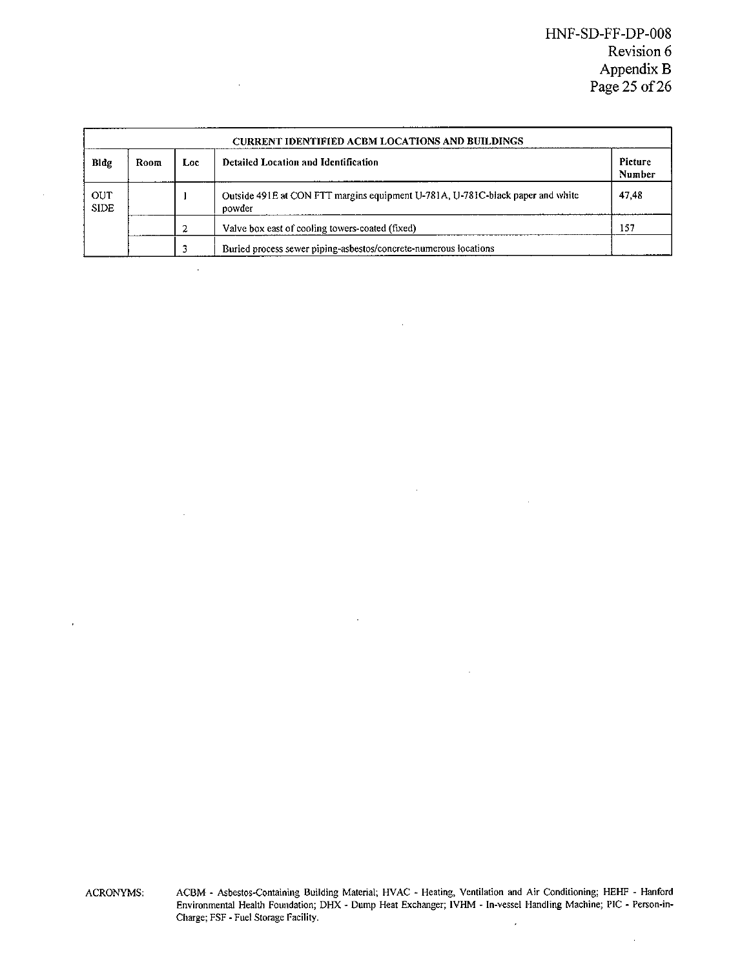| CURRENT IDENTIFIED ACBM LOCATIONS AND BUILDINGS             |        |  |                                                                                |       |  |
|-------------------------------------------------------------|--------|--|--------------------------------------------------------------------------------|-------|--|
| Detailed Location and Identification<br>Bldg<br>Room<br>Loc |        |  |                                                                                |       |  |
| <b>OUT</b><br><b>SIDE</b>                                   | powder |  | Outside 491E at CON FTT margins equipment U-781A, U-781C-black paper and white | 47.48 |  |
|                                                             |        |  | Valve box east of cooling towers-coated (fixed)                                | 157   |  |
|                                                             |        |  | Buried process sewer piping-asbestos/concrete-numerous locations               |       |  |

 $\overline{a}$